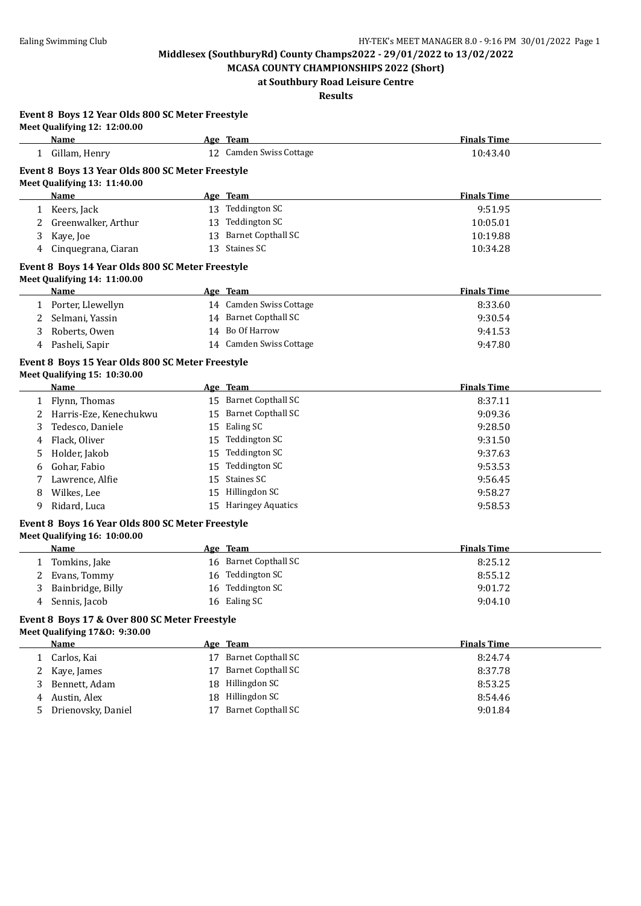**MCASA COUNTY CHAMPIONSHIPS 2022 (Short) at Southbury Road Leisure Centre**

# **Results**

**Event 8 Boys 12 Year Olds 800 SC Meter Freestyle Meet Qualifying 12: 12:00.00**

|    | Name                                             |    | Age Team                  | <b>Finals Time</b> |  |
|----|--------------------------------------------------|----|---------------------------|--------------------|--|
|    | 1 Gillam, Henry                                  |    | 12 Camden Swiss Cottage   | 10:43.40           |  |
|    | Event 8 Boys 13 Year Olds 800 SC Meter Freestyle |    |                           |                    |  |
|    | Meet Qualifying 13: 11:40.00                     |    |                           |                    |  |
|    | Name                                             |    | Age Team                  | <b>Finals Time</b> |  |
|    | 1 Keers, Jack                                    |    | 13 Teddington SC          | 9:51.95            |  |
| 2  | Greenwalker, Arthur                              |    | 13 Teddington SC          | 10:05.01           |  |
| 3  | Kaye, Joe                                        |    | 13 Barnet Copthall SC     | 10:19.88           |  |
| 4  | Cinquegrana, Ciaran                              |    | 13 Staines SC             | 10:34.28           |  |
|    | Event 8 Boys 14 Year Olds 800 SC Meter Freestyle |    |                           |                    |  |
|    | Meet Qualifying 14: 11:00.00                     |    |                           |                    |  |
|    | Name                                             |    | Age Team                  | <b>Finals Time</b> |  |
|    | 1 Porter, Llewellyn                              |    | 14 Camden Swiss Cottage   | 8:33.60            |  |
| 2  | Selmani, Yassin                                  |    | 14 Barnet Copthall SC     | 9:30.54            |  |
| 3  | Roberts, Owen                                    |    | 14 Bo Of Harrow           | 9:41.53            |  |
| 4  | Pasheli, Sapir                                   |    | 14 Camden Swiss Cottage   | 9:47.80            |  |
|    | Event 8 Boys 15 Year Olds 800 SC Meter Freestyle |    |                           |                    |  |
|    | Meet Qualifying 15: 10:30.00                     |    |                           |                    |  |
|    | Name                                             |    | Age Team                  | <b>Finals Time</b> |  |
| 1  | Flynn, Thomas                                    |    | 15 Barnet Copthall SC     | 8:37.11            |  |
| 2  | Harris-Eze, Kenechukwu                           |    | 15 Barnet Copthall SC     | 9:09.36            |  |
| 3  | Tedesco, Daniele                                 |    | 15 Ealing SC              | 9:28.50            |  |
| 4  | Flack, Oliver                                    |    | 15 Teddington SC          | 9:31.50            |  |
| 5  | Holder, Jakob                                    |    | 15 Teddington SC          | 9:37.63            |  |
| 6  | Gohar, Fabio                                     |    | 15 Teddington SC          | 9:53.53            |  |
| 7  | Lawrence, Alfie                                  |    | 15 Staines SC             | 9:56.45            |  |
| 8  | Wilkes, Lee                                      |    | 15 Hillingdon SC          | 9:58.27            |  |
| 9  | Ridard, Luca                                     |    | 15 Haringey Aquatics      | 9:58.53            |  |
|    | Event 8 Boys 16 Year Olds 800 SC Meter Freestyle |    |                           |                    |  |
|    | Meet Qualifying 16: 10:00.00                     |    |                           |                    |  |
|    | Name                                             |    | Age Team                  | <b>Finals Time</b> |  |
|    | 1 Tomkins, Jake                                  |    | 16 Barnet Copthall SC     | 8:25.12            |  |
| 2  | Evans, Tommy                                     |    | 16 Teddington SC          | 8:55.12            |  |
| 3  | Bainbridge, Billy                                |    | 16 Teddington SC          | 9:01.72            |  |
| 4  | Sennis, Jacob                                    |    | 16 Ealing SC              | 9:04.10            |  |
|    | Event 8 Boys 17 & Over 800 SC Meter Freestyle    |    |                           |                    |  |
|    | Meet Qualifying 17&0: 9:30.00                    |    |                           |                    |  |
|    | <b>Name</b>                                      |    | Age Team                  | <b>Finals Time</b> |  |
| 1  | Carlos, Kai                                      |    | 17 Barnet Copthall SC     | 8:24.74            |  |
| 2  | Kaye, James                                      | 17 | <b>Barnet Copthall SC</b> | 8:37.78            |  |
| 3  | Bennett, Adam                                    | 18 | Hillingdon SC             | 8:53.25            |  |
| 4  | Austin, Alex                                     | 18 | Hillingdon SC             | 8:54.46            |  |
| 5. | Drienovsky, Daniel                               |    | 17 Barnet Copthall SC     | 9:01.84            |  |
|    |                                                  |    |                           |                    |  |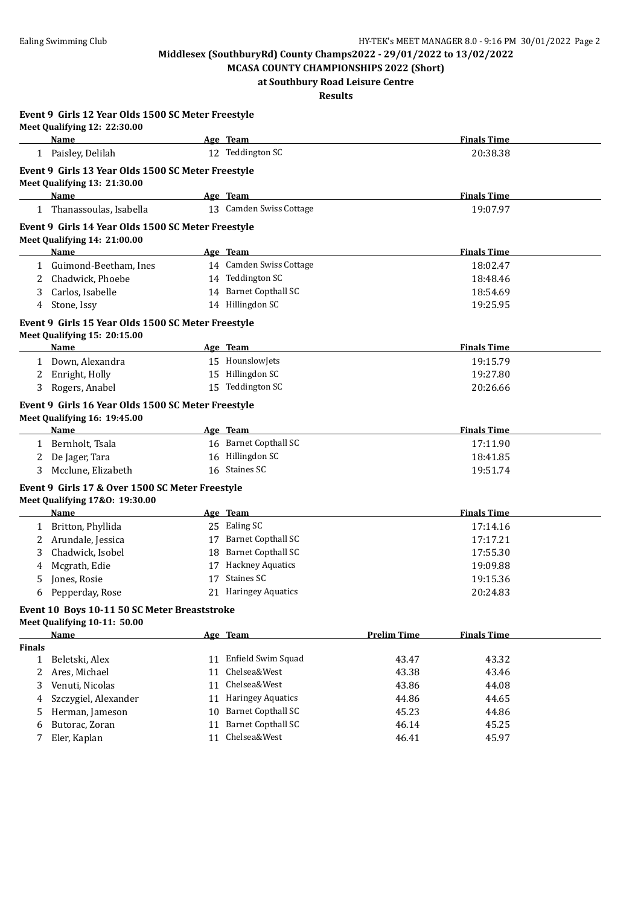**MCASA COUNTY CHAMPIONSHIPS 2022 (Short) at Southbury Road Leisure Centre**

**Results**

|               | Event 9 Girls 12 Year Olds 1500 SC Meter Freestyle<br>Meet Qualifying 12: 22:30.00                |                         |                    |                    |  |
|---------------|---------------------------------------------------------------------------------------------------|-------------------------|--------------------|--------------------|--|
|               | Name                                                                                              | Age Team                |                    | <b>Finals Time</b> |  |
|               | 1 Paisley, Delilah                                                                                | 12 Teddington SC        |                    | 20:38.38           |  |
|               | Event 9 Girls 13 Year Olds 1500 SC Meter Freestyle<br>Meet Qualifying 13: 21:30.00                |                         |                    |                    |  |
|               | Name                                                                                              | Age Team                |                    | <b>Finals Time</b> |  |
|               | 1 Thanassoulas, Isabella                                                                          | 13 Camden Swiss Cottage |                    | 19:07.97           |  |
|               | Event 9 Girls 14 Year Olds 1500 SC Meter Freestyle<br>Meet Qualifying 14: 21:00.00                |                         |                    |                    |  |
|               | Name                                                                                              | Age Team                |                    | <b>Finals Time</b> |  |
|               | 1 Guimond-Beetham, Ines                                                                           | 14 Camden Swiss Cottage |                    | 18:02.47           |  |
| 2             | Chadwick, Phoebe                                                                                  | 14 Teddington SC        |                    | 18:48.46           |  |
| 3             | Carlos, Isabelle                                                                                  | 14 Barnet Copthall SC   |                    | 18:54.69           |  |
| 4             | Stone, Issy                                                                                       | 14 Hillingdon SC        |                    | 19:25.95           |  |
|               | Event 9 Girls 15 Year Olds 1500 SC Meter Freestyle<br>Meet Qualifying 15: 20:15.00                |                         |                    |                    |  |
|               | Name                                                                                              | Age Team                |                    | <b>Finals Time</b> |  |
|               | 1 Down, Alexandra                                                                                 | 15 HounslowJets         |                    | 19:15.79           |  |
|               | 2 Enright, Holly                                                                                  | 15 Hillingdon SC        |                    | 19:27.80           |  |
|               | 3 Rogers, Anabel                                                                                  | 15 Teddington SC        |                    | 20:26.66           |  |
|               | Event 9 Girls 16 Year Olds 1500 SC Meter Freestyle<br>Meet Qualifying 16: 19:45.00<br><b>Name</b> | Age Team                |                    | <b>Finals Time</b> |  |
|               | 1 Bernholt, Tsala                                                                                 | 16 Barnet Copthall SC   |                    | 17:11.90           |  |
|               | 2 De Jager, Tara                                                                                  | 16 Hillingdon SC        |                    | 18:41.85           |  |
| 3             | Mcclune, Elizabeth                                                                                | 16 Staines SC           |                    | 19:51.74           |  |
|               | Event 9 Girls 17 & Over 1500 SC Meter Freestyle                                                   |                         |                    |                    |  |
|               | Meet Qualifying 17&0: 19:30.00                                                                    |                         |                    |                    |  |
|               | Name                                                                                              | Age Team                |                    | <b>Finals Time</b> |  |
|               | 1 Britton, Phyllida                                                                               | 25 Ealing SC            |                    | 17:14.16           |  |
| 2             | Arundale, Jessica                                                                                 | 17 Barnet Copthall SC   |                    | 17:17.21           |  |
| 3             | Chadwick, Isobel                                                                                  | 18 Barnet Copthall SC   |                    | 17:55.30           |  |
| 4             | Mcgrath, Edie                                                                                     | 17 Hackney Aquatics     |                    | 19:09.88           |  |
| 5             | Jones, Rosie                                                                                      | 17 Staines SC           |                    | 19:15.36           |  |
| 6             | Pepperday, Rose                                                                                   | 21 Haringey Aquatics    |                    | 20:24.83           |  |
|               | Event 10 Boys 10-11 50 SC Meter Breaststroke<br>Meet Qualifying 10-11: 50.00                      |                         |                    |                    |  |
|               | Name                                                                                              | Age Team                | <b>Prelim Time</b> | <b>Finals Time</b> |  |
| <b>Finals</b> |                                                                                                   |                         |                    |                    |  |
|               | 1 Beletski, Alex                                                                                  | 11 Enfield Swim Squad   | 43.47              | 43.32              |  |
| 2             | Ares, Michael                                                                                     | 11 Chelsea&West         | 43.38              | 43.46              |  |
| 3             | Venuti, Nicolas                                                                                   | 11 Chelsea&West         | 43.86              | 44.08              |  |
| 4             | Szczygiel, Alexander                                                                              | 11 Haringey Aquatics    | 44.86              | 44.65              |  |
| 5             | Herman, Jameson                                                                                   | 10 Barnet Copthall SC   | 45.23              | 44.86              |  |
| 6             | Butorac, Zoran                                                                                    | 11 Barnet Copthall SC   | 46.14              | 45.25              |  |
| 7             | Eler, Kaplan                                                                                      | 11 Chelsea&West         | 46.41              | 45.97              |  |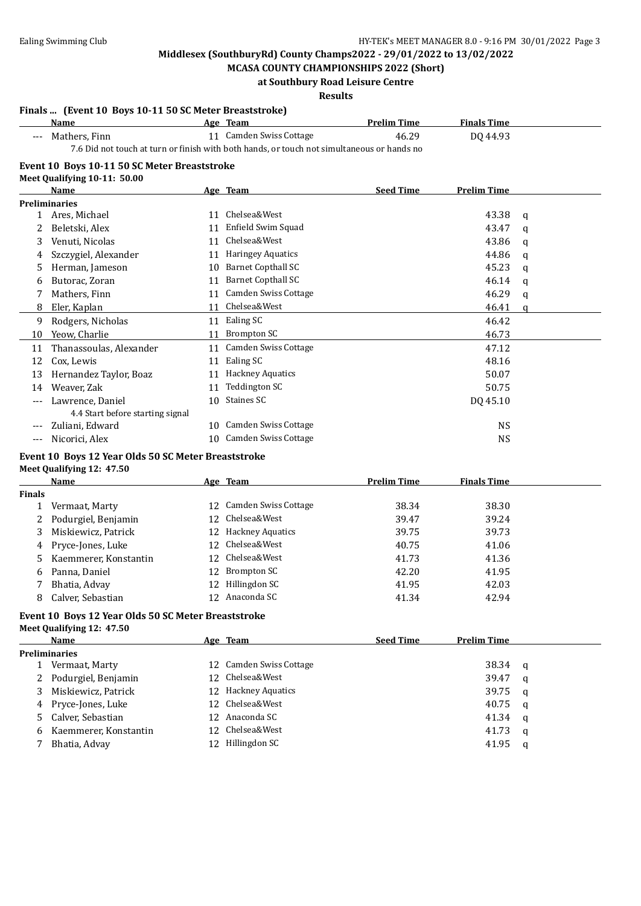**Finals ... (Event 10 Boys 10-11 50 SC Meter Breaststroke)**

### **Middlesex (SouthburyRd) County Champs2022 - 29/01/2022 to 13/02/2022**

**MCASA COUNTY CHAMPIONSHIPS 2022 (Short) at Southbury Road Leisure Centre**

#### **Results**

### **Age Team Prelim Time Finals Time** --- Mathers, Finn 11 Camden Swiss Cottage 46.29 DQ 44.93 7.6 Did not touch at turn or finish with both hands, or touch not simultaneous or hands no **Event 10 Boys 10-11 50 SC Meter Breaststroke Meet Qualifying 10-11: 50.00 Name Age Team Seed Time Prelim Time Preliminaries** 1 Ares, Michael 11 Chelsea&West 11 Ares, Michael 43.38 q 2 Beletski, Alex 11 Enfield Swim Squad 43.47 q 3 Venuti, Nicolas 11 Chelsea&West 43.86 q 4 Szczygiel, Alexander 11 Haringey Aquatics 44.86 q 5 Herman, Jameson 10 Barnet Copthall SC 45.23 q 6 Butorac, Zoran 11 Barnet Copthall SC 46.14 q 7 Mathers, Finn 11 Camden Swiss Cottage 46.29 q 8 Eler, Kaplan 11 Chelsea&West 46.41 q 9 Rodgers, Nicholas 11 Ealing SC 46.42 10 Yeow, Charlie 26.73 11 Thanassoulas, Alexander 11 Camden Swiss Cottage 47.12 12 Cox, Lewis 28.16 and 28.16 and 28.16 and 28.16 and 28.16 and 28.16 and 28.16 and 28.16 and 28.16 and 28.16 and 28.16 and 28.16 and 28.16 and 28.16 and 28.16 and 28.16 and 28.16 and 28.16 and 28.16 and 28.16 and 28.16 an 13 Hernandez Taylor, Boaz 11 Hackney Aquatics 50.07 14 Weaver, Zak 50.75 --- Lawrence, Daniel 10 Staines SC 10 Staines SC 10 DQ 45.10 4.4 Start before starting signal 20 Zuliani, Edward 2008 10 Camden Swiss Cottage 2008 10 Camden Swiss Cottage 2008 10 NS --- Nicorici, Alex 10 Camden Swiss Cottage NS **Event 10 Boys 12 Year Olds 50 SC Meter Breaststroke Meet Qualifying 12: 47.50 Age Team Prelim Time Finals Time Finals** 1 Vermaat, Marty 12 Camden Swiss Cottage 38.34 38.30 2 Podurgiel, Benjamin 12 Chelsea&West 39.47 39.24 3 Miskiewicz, Patrick 12 Hackney Aquatics 39.75 39.73 4 Pryce-Jones, Luke 12 Chelsea&West 40.75 41.06 5 Kaemmerer, Konstantin 12 Chelsea&West 41.73 41.36 6 Panna, Daniel 12 Brompton SC 42.20 41.95 7 Bhatia, Advay 12 Hillingdon SC 41.95 42.03 8 Calver, Sebastian 12 Anaconda SC 41.34 42.94 **Event 10 Boys 12 Year Olds 50 SC Meter Breaststroke Meet Qualifying 12: 47.50 Name Age Team Seed Time Prelim Time Preliminaries** 1 Vermaat, Marty 12 Camden Swiss Cottage 38.34 q 2 Podurgiel, Benjamin 12 Chelsea&West 39.47 q 3 Miskiewicz, Patrick 12 Hackney Aquatics 39.75 q 4 Pryce-Jones, Luke 12 Chelsea&West 40.75 q 5 Calver, Sebastian 12 Anaconda SC 41.34 q 6 Kaemmerer, Konstantin 12 Chelsea&West 41.73 q 7 Bhatia, Advay 12 Hillingdon SC 41.95 q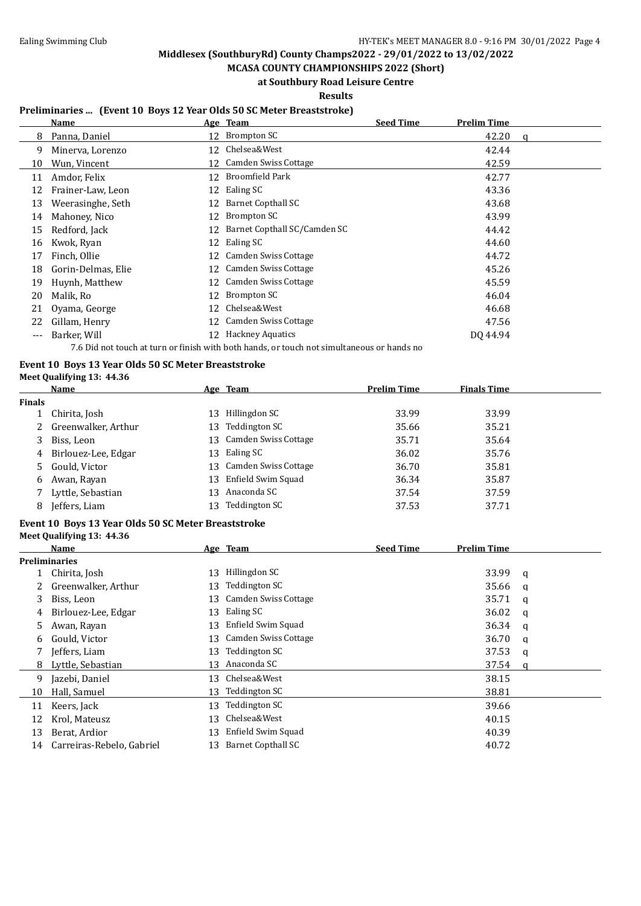**MCASA COUNTY CHAMPIONSHIPS 2022 (Short) at Southbury Road Leisure Centre**

**Results**

### **Preliminaries ... (Event 10 Boys 12 Year Olds 50 SC Meter Breaststroke)**

|       | Name               |    | Age Team                                                                                            | <b>Seed Time</b> | <b>Prelim Time</b> |   |
|-------|--------------------|----|-----------------------------------------------------------------------------------------------------|------------------|--------------------|---|
| 8     | Panna, Daniel      |    | 12 Brompton SC                                                                                      |                  | 42.20              | a |
| 9     | Minerva, Lorenzo   | 12 | Chelsea&West                                                                                        |                  | 42.44              |   |
| 10    | Wun, Vincent       | 12 | Camden Swiss Cottage                                                                                |                  | 42.59              |   |
| 11    | Amdor, Felix       | 12 | Broomfield Park                                                                                     |                  | 42.77              |   |
| 12    | Frainer-Law, Leon  |    | 12 Ealing SC                                                                                        |                  | 43.36              |   |
| 13    | Weerasinghe, Seth  | 12 | Barnet Copthall SC                                                                                  |                  | 43.68              |   |
| 14    | Mahoney, Nico      | 12 | Brompton SC                                                                                         |                  | 43.99              |   |
| 15    | Redford, Jack      | 12 | Barnet Copthall SC/Camden SC                                                                        |                  | 44.42              |   |
| 16    | Kwok, Ryan         |    | 12 Ealing SC                                                                                        |                  | 44.60              |   |
| 17    | Finch, Ollie       | 12 | Camden Swiss Cottage                                                                                |                  | 44.72              |   |
| 18    | Gorin-Delmas, Elie |    | 12 Camden Swiss Cottage                                                                             |                  | 45.26              |   |
| 19    | Huynh, Matthew     |    | 12 Camden Swiss Cottage                                                                             |                  | 45.59              |   |
| 20    | Malik, Ro          | 12 | Brompton SC                                                                                         |                  | 46.04              |   |
| 21    | Oyama, George      | 12 | Chelsea&West                                                                                        |                  | 46.68              |   |
| 22    | Gillam, Henry      |    | 12 Camden Swiss Cottage                                                                             |                  | 47.56              |   |
| $---$ | Barker, Will       |    | 12 Hackney Aquatics                                                                                 |                  | DO 44.94           |   |
|       |                    |    | 로 A Did schliessels en noos en Collebough begin besche en nooids sen einschen eine en beschen de se |                  |                    |   |

7.6 Did not touch at turn or finish with both hands, or touch not simultaneous or hands no

#### **Event 10 Boys 13 Year Olds 50 SC Meter Breaststroke Meet Qualifying 13: 44.36**

|               | <b>Name</b>           |     | Age Team                    | Prelim Time | <b>Finals Time</b> |
|---------------|-----------------------|-----|-----------------------------|-------------|--------------------|
| <b>Finals</b> |                       |     |                             |             |                    |
|               | 1 Chirita, Josh       | 13. | Hillingdon SC               | 33.99       | 33.99              |
|               | 2 Greenwalker, Arthur | 13  | Teddington SC               | 35.66       | 35.21              |
|               | 3 Biss, Leon          | 13. | <b>Camden Swiss Cottage</b> | 35.71       | 35.64              |
|               | 4 Birlouez-Lee, Edgar | 13  | Ealing SC                   | 36.02       | 35.76              |
|               | 5 Gould, Victor       | 13- | Camden Swiss Cottage        | 36.70       | 35.81              |
| 6             | Awan, Rayan           | 13  | Enfield Swim Squad          | 36.34       | 35.87              |
|               | Lyttle, Sebastian     | 13. | Anaconda SC                 | 37.54       | 37.59              |
| 8             | Jeffers, Liam         |     | Teddington SC               | 37.53       | 37.71              |

#### **Event 10 Boys 13 Year Olds 50 SC Meter Breaststroke Meet Qualifying 13: 44.36**

|    | Name                      |    | Age Team                  | <b>Seed Time</b> | <b>Prelim Time</b> |   |
|----|---------------------------|----|---------------------------|------------------|--------------------|---|
|    | Preliminaries             |    |                           |                  |                    |   |
|    | Chirita, Josh             | 13 | Hillingdon SC             |                  | 33.99              | a |
|    | Greenwalker, Arthur       | 13 | Teddington SC             |                  | 35.66              | a |
| 3  | Biss, Leon                | 13 | Camden Swiss Cottage      |                  | 35.71              | a |
| 4  | Birlouez-Lee, Edgar       | 13 | Ealing SC                 |                  | 36.02              | a |
| 5. | Awan, Rayan               | 13 | Enfield Swim Squad        |                  | 36.34              | a |
| 6  | Gould, Victor             | 13 | Camden Swiss Cottage      |                  | 36.70              | a |
|    | Jeffers, Liam             | 13 | Teddington SC             |                  | 37.53              | q |
| 8  | Lyttle, Sebastian         | 13 | Anaconda SC               |                  | 37.54              | a |
| 9  | Jazebi, Daniel            | 13 | Chelsea&West              |                  | 38.15              |   |
| 10 | Hall, Samuel              | 13 | Teddington SC             |                  | 38.81              |   |
| 11 | Keers, Jack               | 13 | Teddington SC             |                  | 39.66              |   |
| 12 | Krol, Mateusz             | 13 | Chelsea&West              |                  | 40.15              |   |
| 13 | Berat, Ardior             | 13 | Enfield Swim Squad        |                  | 40.39              |   |
| 14 | Carreiras-Rebelo, Gabriel | 13 | <b>Barnet Copthall SC</b> |                  | 40.72              |   |
|    |                           |    |                           |                  |                    |   |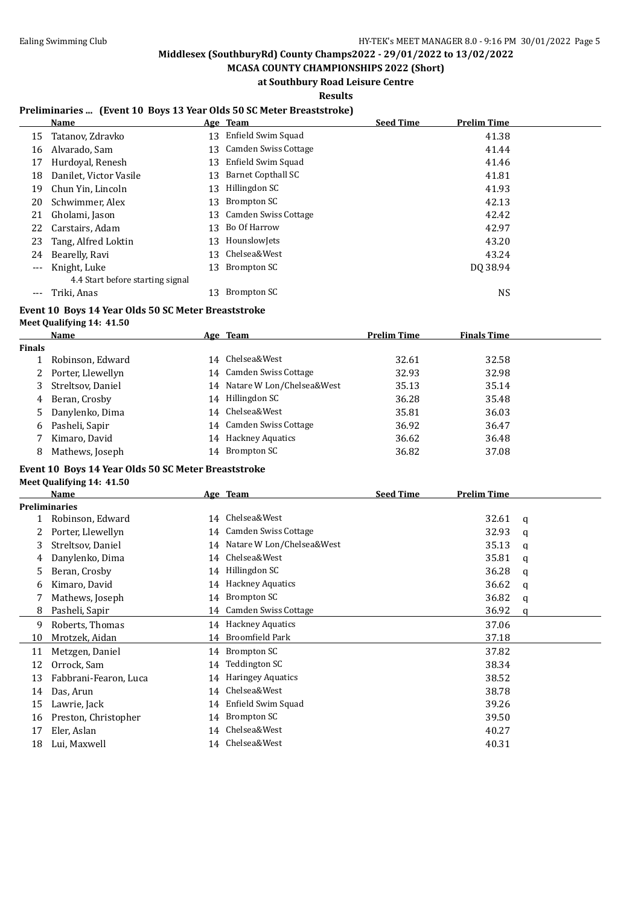**MCASA COUNTY CHAMPIONSHIPS 2022 (Short) at Southbury Road Leisure Centre**

**Results**

### **Preliminaries ... (Event 10 Boys 13 Year Olds 50 SC Meter Breaststroke)**

|       | Name                             |    | Age Team             | <b>Seed Time</b> | <b>Prelim Time</b> |
|-------|----------------------------------|----|----------------------|------------------|--------------------|
| 15    | Tatanov, Zdravko                 | 13 | Enfield Swim Squad   |                  | 41.38              |
| 16    | Alvarado, Sam                    | 13 | Camden Swiss Cottage |                  | 41.44              |
| 17    | Hurdoval, Renesh                 | 13 | Enfield Swim Squad   |                  | 41.46              |
| 18    | Danilet, Victor Vasile           | 13 | Barnet Copthall SC   |                  | 41.81              |
| 19    | Chun Yin, Lincoln                | 13 | Hillingdon SC        |                  | 41.93              |
| 20    | Schwimmer, Alex                  | 13 | Brompton SC          |                  | 42.13              |
| 21    | Gholami, Jason                   | 13 | Camden Swiss Cottage |                  | 42.42              |
| 22    | Carstairs, Adam                  | 13 | Bo Of Harrow         |                  | 42.97              |
| 23    | Tang, Alfred Loktin              | 13 | HounslowJets         |                  | 43.20              |
| 24    | Bearelly, Ravi                   | 13 | Chelsea&West         |                  | 43.24              |
| $---$ | Knight, Luke                     | 13 | Brompton SC          |                  | DO 38.94           |
|       | 4.4 Start before starting signal |    |                      |                  |                    |
|       | Triki, Anas                      | 13 | Brompton SC          |                  | NS                 |

#### **Event 10 Boys 14 Year Olds 50 SC Meter Breaststroke**

**Meet Qualifying 14: 41.50**

|               | Name                | Age Team                     | <b>Prelim Time</b> | <b>Finals Time</b> |  |
|---------------|---------------------|------------------------------|--------------------|--------------------|--|
| <b>Finals</b> |                     |                              |                    |                    |  |
|               | Robinson, Edward    | 14 Chelsea&West              | 32.61              | 32.58              |  |
|               | 2 Porter, Llewellyn | 14 Camden Swiss Cottage      | 32.93              | 32.98              |  |
| 3             | Streltsov, Daniel   | 14 Natare W Lon/Chelsea&West | 35.13              | 35.14              |  |
| 4             | Beran, Crosby       | 14 Hillingdon SC             | 36.28              | 35.48              |  |
| 5             | Danylenko, Dima     | 14 Chelsea&West              | 35.81              | 36.03              |  |
| 6             | Pasheli, Sapir      | 14 Camden Swiss Cottage      | 36.92              | 36.47              |  |
|               | Kimaro, David       | 14 Hackney Aquatics          | 36.62              | 36.48              |  |
| 8             | Mathews, Joseph     | 14 Brompton SC               | 36.82              | 37.08              |  |

### **Event 10 Boys 14 Year Olds 50 SC Meter Breaststroke**

**Meet Qualifying 14: 41.50**

|    | <b>Name</b>           |    | Age Team                     | <b>Seed Time</b> | Prelim Time |   |
|----|-----------------------|----|------------------------------|------------------|-------------|---|
|    | <b>Preliminaries</b>  |    |                              |                  |             |   |
|    | Robinson, Edward      | 14 | Chelsea&West                 |                  | 32.61       | a |
|    | Porter, Llewellyn     |    | 14 Camden Swiss Cottage      |                  | 32.93       | q |
| 3  | Streltsov, Daniel     |    | 14 Natare W Lon/Chelsea&West |                  | 35.13       | q |
| 4  | Danylenko, Dima       | 14 | Chelsea&West                 |                  | 35.81       | q |
| 5  | Beran, Crosby         |    | 14 Hillingdon SC             |                  | 36.28       | q |
| 6  | Kimaro, David         | 14 | <b>Hackney Aquatics</b>      |                  | 36.62       | a |
| 7  | Mathews, Joseph       | 14 | Brompton SC                  |                  | 36.82       | a |
| 8  | Pasheli, Sapir        | 14 | Camden Swiss Cottage         |                  | 36.92       | a |
| 9  | Roberts, Thomas       | 14 | <b>Hackney Aquatics</b>      |                  | 37.06       |   |
| 10 | Mrotzek, Aidan        | 14 | Broomfield Park              |                  | 37.18       |   |
| 11 | Metzgen, Daniel       |    | 14 Brompton SC               |                  | 37.82       |   |
| 12 | Orrock, Sam           | 14 | Teddington SC                |                  | 38.34       |   |
| 13 | Fabbrani-Fearon, Luca | 14 | <b>Haringey Aquatics</b>     |                  | 38.52       |   |
| 14 | Das, Arun             | 14 | Chelsea&West                 |                  | 38.78       |   |
| 15 | Lawrie, Jack          | 14 | Enfield Swim Squad           |                  | 39.26       |   |
| 16 | Preston, Christopher  | 14 | Brompton SC                  |                  | 39.50       |   |
| 17 | Eler, Aslan           | 14 | Chelsea&West                 |                  | 40.27       |   |
| 18 | Lui, Maxwell          | 14 | Chelsea&West                 |                  | 40.31       |   |
|    |                       |    |                              |                  |             |   |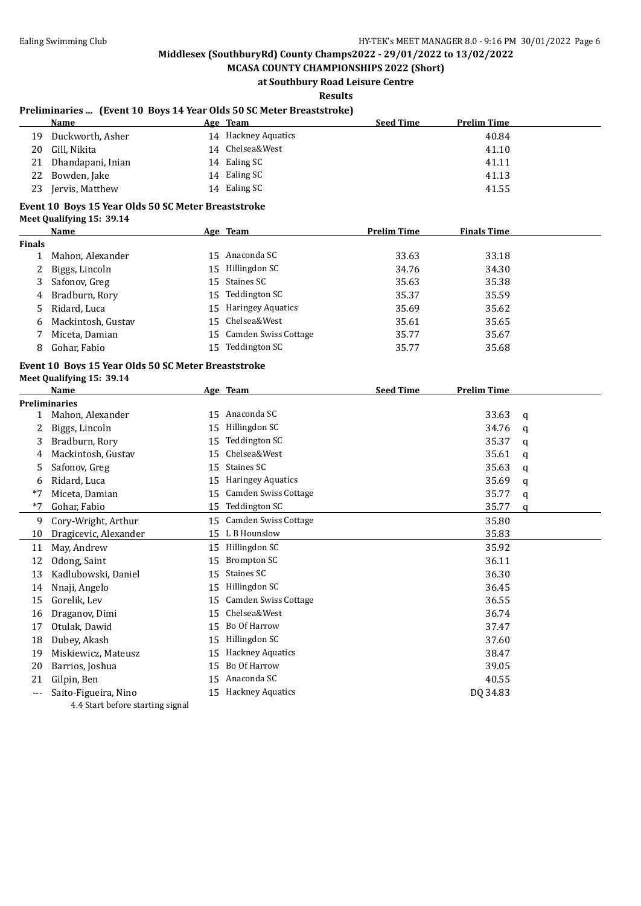**MCASA COUNTY CHAMPIONSHIPS 2022 (Short) at Southbury Road Leisure Centre**

**Results**

### **Preliminaries ... (Event 10 Boys 14 Year Olds 50 SC Meter Breaststroke)**

|     | Name                 | Age | Team                | <b>Seed Time</b> | <b>Prelim Time</b> |
|-----|----------------------|-----|---------------------|------------------|--------------------|
| 19. | Duckworth, Asher     |     | 14 Hackney Aquatics |                  | 40.84              |
| 20  | Gill, Nikita         |     | 14 Chelsea&West     |                  | 41.10              |
|     | 21 Dhandapani, Inian |     | 14 Ealing SC        |                  | 41.11              |
|     | 22 Bowden, Jake      |     | 14 Ealing SC        |                  | 41.13              |
| 23  | Jervis, Matthew      |     | 14 Ealing SC        |                  | 41.55              |

### **Event 10 Boys 15 Year Olds 50 SC Meter Breaststroke**

**Meet Qualifying 15: 39.14**

|        | Name               |    | Age Team                | <b>Prelim Time</b> | <b>Finals Time</b> |  |
|--------|--------------------|----|-------------------------|--------------------|--------------------|--|
| Finals |                    |    |                         |                    |                    |  |
|        | Mahon, Alexander   |    | 15 Anaconda SC          | 33.63              | 33.18              |  |
| 2      | Biggs, Lincoln     | 15 | Hillingdon SC           | 34.76              | 34.30              |  |
|        | 3 Safonov, Greg    |    | 15 Staines SC           | 35.63              | 35.38              |  |
|        | 4 Bradburn, Rory   |    | 15 Teddington SC        | 35.37              | 35.59              |  |
|        | 5 Ridard, Luca     |    | 15 Haringey Aquatics    | 35.69              | 35.62              |  |
| 6.     | Mackintosh, Gustav |    | 15 Chelsea&West         | 35.61              | 35.65              |  |
|        | Miceta, Damian     |    | 15 Camden Swiss Cottage | 35.77              | 35.67              |  |
| 8      | Gohar, Fabio       |    | 15 Teddington SC        | 35.77              | 35.68              |  |

#### **Event 10 Boys 15 Year Olds 50 SC Meter Breaststroke Meet Qualifying 15: 39.14**

|       | <b>Name</b>           |    | Age Team                    | <b>Seed Time</b> | <b>Prelim Time</b> |   |
|-------|-----------------------|----|-----------------------------|------------------|--------------------|---|
|       | <b>Preliminaries</b>  |    |                             |                  |                    |   |
|       | Mahon, Alexander      | 15 | Anaconda SC                 |                  | 33.63              | q |
|       | Biggs, Lincoln        | 15 | Hillingdon SC               |                  | 34.76              | q |
| 3     | Bradburn, Rory        | 15 | Teddington SC               |                  | 35.37              | a |
| 4     | Mackintosh, Gustav    | 15 | Chelsea&West                |                  | 35.61              | q |
| 5     | Safonov, Greg         | 15 | Staines SC                  |                  | 35.63              | a |
| 6     | Ridard, Luca          | 15 | Haringey Aquatics           |                  | 35.69              | q |
| $*7$  | Miceta, Damian        | 15 | <b>Camden Swiss Cottage</b> |                  | 35.77              | a |
| $*7$  | Gohar, Fabio          | 15 | Teddington SC               |                  | 35.77              | a |
| 9     | Cory-Wright, Arthur   | 15 | <b>Camden Swiss Cottage</b> |                  | 35.80              |   |
| 10    | Dragicevic, Alexander | 15 | L B Hounslow                |                  | 35.83              |   |
| 11    | May, Andrew           | 15 | Hillingdon SC               |                  | 35.92              |   |
| 12    | Odong, Saint          | 15 | <b>Brompton SC</b>          |                  | 36.11              |   |
| 13    | Kadlubowski, Daniel   | 15 | Staines SC                  |                  | 36.30              |   |
| 14    | Nnaji, Angelo         | 15 | Hillingdon SC               |                  | 36.45              |   |
| 15    | Gorelik, Lev          | 15 | <b>Camden Swiss Cottage</b> |                  | 36.55              |   |
| 16    | Draganov, Dimi        | 15 | Chelsea&West                |                  | 36.74              |   |
| 17    | Otulak, Dawid         | 15 | Bo Of Harrow                |                  | 37.47              |   |
| 18    | Dubey, Akash          | 15 | Hillingdon SC               |                  | 37.60              |   |
| 19    | Miskiewicz, Mateusz   | 15 | <b>Hackney Aquatics</b>     |                  | 38.47              |   |
| 20    | Barrios, Joshua       | 15 | Bo Of Harrow                |                  | 39.05              |   |
| 21    | Gilpin, Ben           | 15 | Anaconda SC                 |                  | 40.55              |   |
| $---$ | Saito-Figueira, Nino  | 15 | <b>Hackney Aquatics</b>     |                  | DQ 34.83           |   |

4.4 Start before starting signal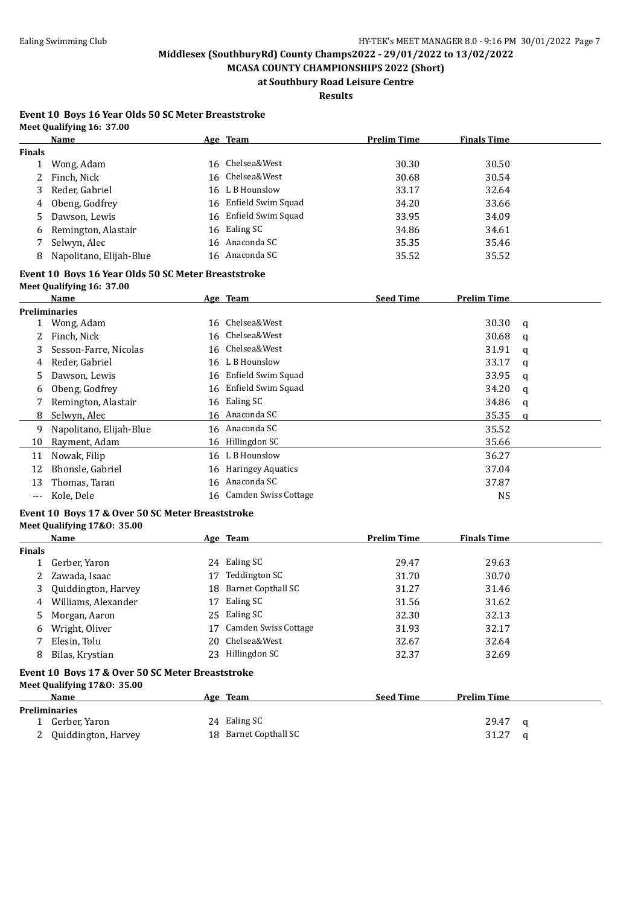**MCASA COUNTY CHAMPIONSHIPS 2022 (Short) at Southbury Road Leisure Centre**

**Results**

#### **Event 10 Boys 16 Year Olds 50 SC Meter Breaststroke Meet Qualifying 16: 37.00**

|               | Name                    |    | Age Team              | <b>Prelim Time</b> | <b>Finals Time</b> |  |
|---------------|-------------------------|----|-----------------------|--------------------|--------------------|--|
| <b>Finals</b> |                         |    |                       |                    |                    |  |
|               | Wong, Adam              | 16 | Chelsea&West          | 30.30              | 30.50              |  |
|               | 2 Finch, Nick           |    | 16 Chelsea&West       | 30.68              | 30.54              |  |
| 3             | Reder, Gabriel          |    | 16 L B Hounslow       | 33.17              | 32.64              |  |
| 4             | Obeng, Godfrey          |    | 16 Enfield Swim Squad | 34.20              | 33.66              |  |
| 5             | Dawson, Lewis           | 16 | Enfield Swim Squad    | 33.95              | 34.09              |  |
| 6             | Remington, Alastair     |    | 16 Ealing SC          | 34.86              | 34.61              |  |
|               | Selwyn, Alec            |    | 16 Anaconda SC        | 35.35              | 35.46              |  |
| 8             | Napolitano, Elijah-Blue |    | 16 Anaconda SC        | 35.52              | 35.52              |  |

### **Event 10 Boys 16 Year Olds 50 SC Meter Breaststroke**

| Meet Qualifying 16: 37.00 |  |
|---------------------------|--|
| $N = 0$                   |  |

|     | Name                    | Age Team                | <b>Seed Time</b> | <b>Prelim Time</b> |   |
|-----|-------------------------|-------------------------|------------------|--------------------|---|
|     | <b>Preliminaries</b>    |                         |                  |                    |   |
|     | Wong, Adam              | 16 Chelsea&West         |                  | 30.30              | a |
|     | Finch, Nick             | 16 Chelsea&West         |                  | 30.68              | q |
| 3   | Sesson-Farre, Nicolas   | 16 Chelsea&West         |                  | 31.91              | a |
| 4   | Reder, Gabriel          | 16 L B Hounslow         |                  | 33.17              | a |
| 5.  | Dawson, Lewis           | 16 Enfield Swim Squad   |                  | 33.95              | q |
| 6   | Obeng, Godfrey          | 16 Enfield Swim Squad   |                  | 34.20              | q |
|     | Remington, Alastair     | 16 Ealing SC            |                  | 34.86              | a |
| 8   | Selwyn, Alec            | 16 Anaconda SC          |                  | 35.35              | a |
| 9   | Napolitano, Elijah-Blue | 16 Anaconda SC          |                  | 35.52              |   |
| 10  | Rayment, Adam           | 16 Hillingdon SC        |                  | 35.66              |   |
| 11  | Nowak, Filip            | 16 L B Hounslow         |                  | 36.27              |   |
| 12  | Bhonsle, Gabriel        | 16 Haringey Aquatics    |                  | 37.04              |   |
| 13  | Thomas, Taran           | 16 Anaconda SC          |                  | 37.87              |   |
| --- | Kole, Dele              | 16 Camden Swiss Cottage |                  | <b>NS</b>          |   |

#### **Event 10 Boys 17 & Over 50 SC Meter Breaststroke Meet Qualifying 17&O: 35.00**

|               | Name                                                                            |    | Age Team                    | <b>Prelim Time</b> | <b>Finals Time</b> |   |
|---------------|---------------------------------------------------------------------------------|----|-----------------------------|--------------------|--------------------|---|
| <b>Finals</b> |                                                                                 |    |                             |                    |                    |   |
|               | Gerber, Yaron                                                                   |    | 24 Ealing SC                | 29.47              | 29.63              |   |
|               | Zawada, Isaac                                                                   | 17 | Teddington SC               | 31.70              | 30.70              |   |
| 3             | Quiddington, Harvey                                                             | 18 | <b>Barnet Copthall SC</b>   | 31.27              | 31.46              |   |
| 4             | Williams, Alexander                                                             | 17 | Ealing SC                   | 31.56              | 31.62              |   |
| 5.            | Morgan, Aaron                                                                   |    | 25 Ealing SC                | 32.30              | 32.13              |   |
| 6             | Wright, Oliver                                                                  | 17 | <b>Camden Swiss Cottage</b> | 31.93              | 32.17              |   |
|               | Elesin, Tolu                                                                    | 20 | Chelsea&West                | 32.67              | 32.64              |   |
| 8             | Bilas, Krystian                                                                 | 23 | Hillingdon SC               | 32.37              | 32.69              |   |
|               | Event 10 Boys 17 & Over 50 SC Meter Breaststroke<br>Meet Qualifying 17&0: 35.00 |    |                             |                    |                    |   |
|               | Name                                                                            |    | Age Team                    | <b>Seed Time</b>   | <b>Prelim Time</b> |   |
|               | <b>Preliminaries</b>                                                            |    |                             |                    |                    |   |
|               | 1 Gerber, Yaron                                                                 | 24 | Ealing SC                   |                    | 29.47              | a |

2 Quiddington, Harvey 18 Barnet Copthall SC 31.27 q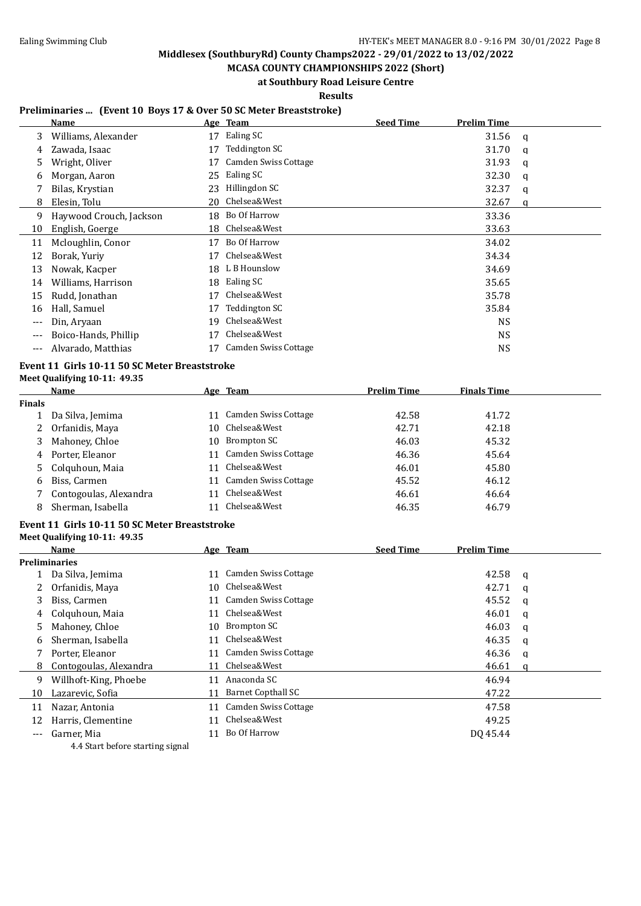**Middlesex (SouthburyRd) County Champs2022 - 29/01/2022 to 13/02/2022 MCASA COUNTY CHAMPIONSHIPS 2022 (Short)**

**at Southbury Road Leisure Centre**

**Results**

### **Preliminaries ... (Event 10 Boys 17 & Over 50 SC Meter Breaststroke)**

|     | Name                    |    | Age Team             | <b>Seed Time</b> | <b>Prelim Time</b> |   |
|-----|-------------------------|----|----------------------|------------------|--------------------|---|
| 3   | Williams, Alexander     | 17 | Ealing SC            |                  | 31.56              | q |
| 4   | Zawada, Isaac           | 17 | Teddington SC        |                  | 31.70              | q |
| 5   | Wright, Oliver          | 17 | Camden Swiss Cottage |                  | 31.93              | q |
| 6   | Morgan, Aaron           | 25 | Ealing SC            |                  | 32.30              | q |
| 7   | Bilas, Krystian         | 23 | Hillingdon SC        |                  | 32.37              | q |
| 8   | Elesin, Tolu            | 20 | Chelsea&West         |                  | 32.67              | a |
| 9   | Haywood Crouch, Jackson |    | 18 Bo Of Harrow      |                  | 33.36              |   |
| 10  | English, Goerge         |    | 18 Chelsea&West      |                  | 33.63              |   |
| 11  | Mcloughlin, Conor       | 17 | Bo Of Harrow         |                  | 34.02              |   |
| 12  | Borak, Yuriy            | 17 | Chelsea&West         |                  | 34.34              |   |
| 13  | Nowak, Kacper           | 18 | L B Hounslow         |                  | 34.69              |   |
| 14  | Williams, Harrison      | 18 | Ealing SC            |                  | 35.65              |   |
| 15  | Rudd, Jonathan          | 17 | Chelsea&West         |                  | 35.78              |   |
| 16  | Hall, Samuel            | 17 | Teddington SC        |                  | 35.84              |   |
| --- | Din, Aryaan             | 19 | Chelsea&West         |                  | <b>NS</b>          |   |
| --- | Boico-Hands, Phillip    | 17 | Chelsea&West         |                  | <b>NS</b>          |   |
| --- | Alvarado, Matthias      | 17 | Camden Swiss Cottage |                  | <b>NS</b>          |   |

#### **Event 11 Girls 10-11 50 SC Meter Breaststroke Meet Qualifying 10-11: 49.35**

|        | <b>Name</b>            | Age Team             | <b>Prelim Time</b> | <b>Finals Time</b> |
|--------|------------------------|----------------------|--------------------|--------------------|
| Finals |                        |                      |                    |                    |
|        | Da Silva, Jemima       | Camden Swiss Cottage | 42.58              | 41.72              |
| 2      | Orfanidis, Maya        | 10 Chelsea&West      | 42.71              | 42.18              |
| 3      | Mahoney, Chloe         | 10 Brompton SC       | 46.03              | 45.32              |
| 4      | Porter, Eleanor        | Camden Swiss Cottage | 46.36              | 45.64              |
|        | 5 Colquhoun, Maia      | Chelsea&West         | 46.01              | 45.80              |
| 6      | Biss, Carmen           | Camden Swiss Cottage | 45.52              | 46.12              |
|        | Contogoulas, Alexandra | Chelsea&West         | 46.61              | 46.64              |
| 8      | Sherman, Isabella      | Chelsea&West         | 46.35              | 46.79              |
|        |                        |                      |                    |                    |

# **Event 11 Girls 10-11 50 SC Meter Breaststroke**

### **Meet Qualifying 10-11: 49.35**

|       | Name                                                 |     | Age Team             | <b>Seed Time</b> | <b>Prelim Time</b> |   |
|-------|------------------------------------------------------|-----|----------------------|------------------|--------------------|---|
|       | <b>Preliminaries</b>                                 |     |                      |                  |                    |   |
|       | Da Silva, Jemima                                     |     | Camden Swiss Cottage |                  | 42.58              | q |
|       | Orfanidis, Maya                                      |     | 10 Chelsea&West      |                  | 42.71              | q |
| 3     | Biss, Carmen                                         |     | Camden Swiss Cottage |                  | 45.52              | q |
| 4     | Colguhoun, Maia                                      | 11  | Chelsea&West         |                  | 46.01              | a |
| 5     | Mahoney, Chloe                                       | 10. | Brompton SC          |                  | 46.03              | q |
| 6     | Sherman, Isabella                                    |     | Chelsea&West         |                  | 46.35              | a |
|       | Porter, Eleanor                                      |     | Camden Swiss Cottage |                  | 46.36              | q |
| 8     | Contogoulas, Alexandra                               |     | Chelsea&West         |                  | 46.61              | a |
| 9     | Willhoft-King, Phoebe                                | 11  | Anaconda SC          |                  | 46.94              |   |
| 10    | Lazarevic, Sofia                                     | 11  | Barnet Copthall SC   |                  | 47.22              |   |
| 11    | Nazar, Antonia                                       |     | Camden Swiss Cottage |                  | 47.58              |   |
| 12    | Harris, Clementine                                   |     | Chelsea&West         |                  | 49.25              |   |
| $---$ | Garner, Mia                                          |     | Bo Of Harrow         |                  | DQ 45.44           |   |
|       | $\Lambda$ $\Lambda$ Chant lagrange atoming given all |     |                      |                  |                    |   |

4.4 Start before starting signal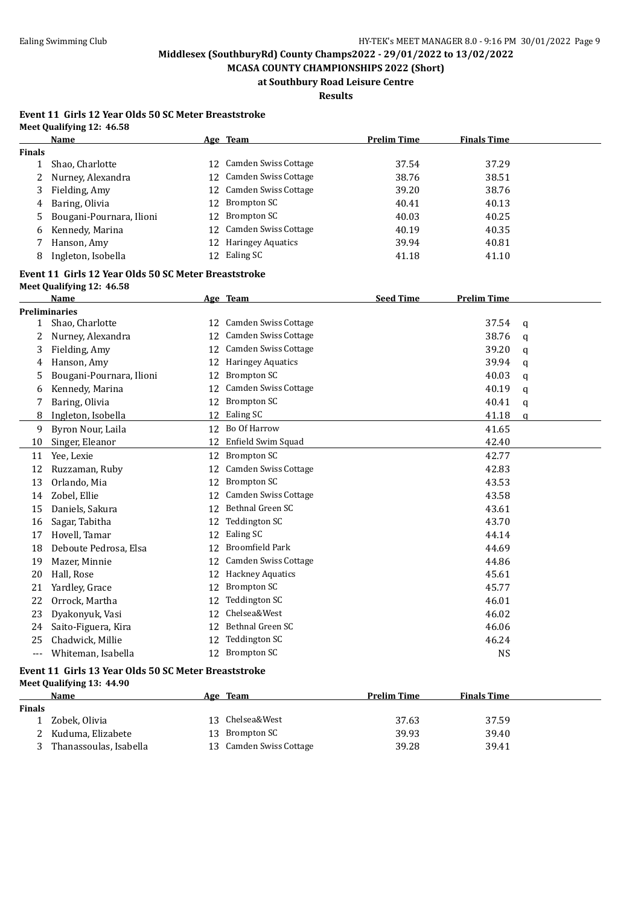**MCASA COUNTY CHAMPIONSHIPS 2022 (Short) at Southbury Road Leisure Centre**

**Results**

#### **Event 11 Girls 12 Year Olds 50 SC Meter Breaststroke Meet Qualifying 12: 46.58**

|               | Name                       |    | Age Team                 | <b>Prelim Time</b> | <b>Finals Time</b> |  |
|---------------|----------------------------|----|--------------------------|--------------------|--------------------|--|
| <b>Finals</b> |                            |    |                          |                    |                    |  |
|               | Shao, Charlotte            |    | 12 Camden Swiss Cottage  | 37.54              | 37.29              |  |
|               | 2 Nurney, Alexandra        |    | 12 Camden Swiss Cottage  | 38.76              | 38.51              |  |
| 3             | Fielding, Amy              |    | 12 Camden Swiss Cottage  | 39.20              | 38.76              |  |
| 4             | Baring, Olivia             | 12 | Brompton SC              | 40.41              | 40.13              |  |
|               | 5 Bougani-Pournara, Ilioni | 12 | Brompton SC              | 40.03              | 40.25              |  |
| 6             | Kennedy, Marina            |    | 12 Camden Swiss Cottage  | 40.19              | 40.35              |  |
|               | Hanson, Amy                | 12 | <b>Haringey Aquatics</b> | 39.94              | 40.81              |  |
| 8             | Ingleton, Isobella         | 12 | Ealing SC                | 41.18              | 41.10              |  |

## **Event 11 Girls 12 Year Olds 50 SC Meter Breaststroke**

|  |  | Meet Qualifying 12: 46.58 |  |  |
|--|--|---------------------------|--|--|
|--|--|---------------------------|--|--|

|     | Name                     |    | Age Team                    | <b>Seed Time</b> | <b>Prelim Time</b> |          |
|-----|--------------------------|----|-----------------------------|------------------|--------------------|----------|
|     | <b>Preliminaries</b>     |    |                             |                  |                    |          |
| 1   | Shao, Charlotte          | 12 | Camden Swiss Cottage        |                  | 37.54              | q        |
| 2   | Nurney, Alexandra        | 12 | <b>Camden Swiss Cottage</b> |                  | 38.76              | a        |
| 3   | Fielding, Amy            | 12 | <b>Camden Swiss Cottage</b> |                  | 39.20              | a        |
| 4   | Hanson, Amy              | 12 | <b>Haringey Aquatics</b>    |                  | 39.94              | a        |
| 5   | Bougani-Pournara, Ilioni | 12 | <b>Brompton SC</b>          |                  | 40.03              | a        |
| 6   | Kennedy, Marina          | 12 | <b>Camden Swiss Cottage</b> |                  | 40.19              | q        |
| 7   | Baring, Olivia           | 12 | <b>Brompton SC</b>          |                  | 40.41              | a        |
| 8   | Ingleton, Isobella       | 12 | Ealing SC                   |                  | 41.18              | $\Omega$ |
| 9   | Byron Nour, Laila        | 12 | Bo Of Harrow                |                  | 41.65              |          |
| 10  | Singer, Eleanor          | 12 | Enfield Swim Squad          |                  | 42.40              |          |
| 11  | Yee, Lexie               | 12 | <b>Brompton SC</b>          |                  | 42.77              |          |
| 12  | Ruzzaman, Ruby           | 12 | <b>Camden Swiss Cottage</b> |                  | 42.83              |          |
| 13  | Orlando, Mia             | 12 | <b>Brompton SC</b>          |                  | 43.53              |          |
| 14  | Zobel, Ellie             | 12 | <b>Camden Swiss Cottage</b> |                  | 43.58              |          |
| 15  | Daniels, Sakura          | 12 | Bethnal Green SC            |                  | 43.61              |          |
| 16  | Sagar, Tabitha           | 12 | Teddington SC               |                  | 43.70              |          |
| 17  | Hovell, Tamar            | 12 | Ealing SC                   |                  | 44.14              |          |
| 18  | Deboute Pedrosa, Elsa    | 12 | <b>Broomfield Park</b>      |                  | 44.69              |          |
| 19  | Mazer, Minnie            | 12 | <b>Camden Swiss Cottage</b> |                  | 44.86              |          |
| 20  | Hall, Rose               | 12 | <b>Hackney Aquatics</b>     |                  | 45.61              |          |
| 21  | Yardley, Grace           | 12 | <b>Brompton SC</b>          |                  | 45.77              |          |
| 22  | Orrock, Martha           | 12 | Teddington SC               |                  | 46.01              |          |
| 23  | Dyakonyuk, Vasi          | 12 | Chelsea&West                |                  | 46.02              |          |
| 24  | Saito-Figuera, Kira      | 12 | Bethnal Green SC            |                  | 46.06              |          |
| 25  | Chadwick, Millie         | 12 | <b>Teddington SC</b>        |                  | 46.24              |          |
| --- | Whiteman, Isabella       | 12 | <b>Brompton SC</b>          |                  | <b>NS</b>          |          |

#### **Event 11 Girls 13 Year Olds 50 SC Meter Breaststroke Meet Qualifying 13: 44.90**

|               | Name                   | Age Team                | <b>Prelim Time</b> | <b>Finals Time</b> |
|---------------|------------------------|-------------------------|--------------------|--------------------|
| <b>Finals</b> |                        |                         |                    |                    |
|               | Zobek, Olivia          | 13 Chelsea&West         | 37.63              | 37.59              |
|               | Kuduma, Elizabete      | 13 Brompton SC          | 39.93              | 39.40              |
|               | Thanassoulas, Isabella | 13 Camden Swiss Cottage | 39.28              | 39.41              |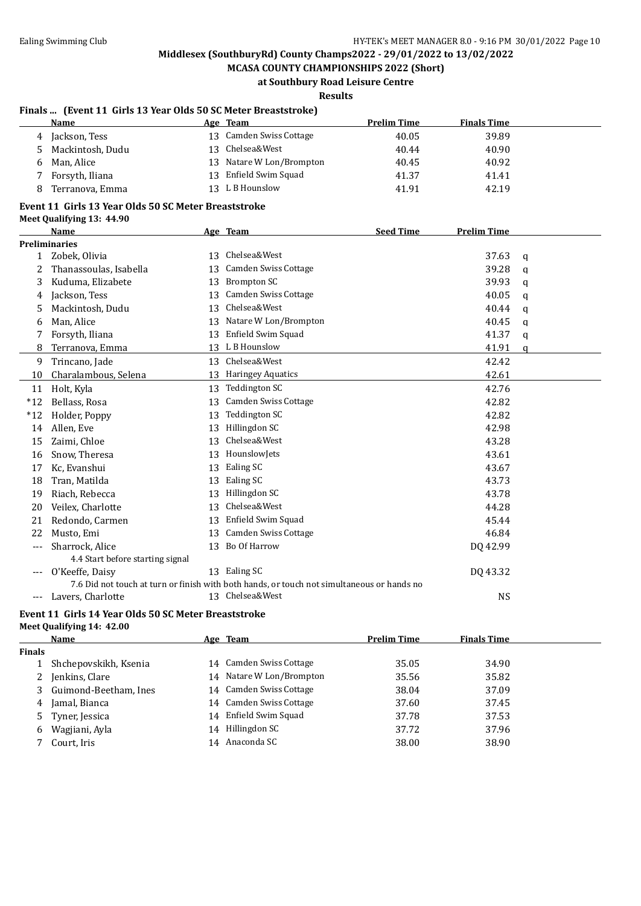**MCASA COUNTY CHAMPIONSHIPS 2022 (Short) at Southbury Road Leisure Centre**

**Results**

### **Finals ... (Event 11 Girls 13 Year Olds 50 SC Meter Breaststroke)**

|              | Name                                                 |    | Age Team                                                                                   | <b>Prelim Time</b> | <b>Finals Time</b> |              |
|--------------|------------------------------------------------------|----|--------------------------------------------------------------------------------------------|--------------------|--------------------|--------------|
| 4            | Jackson, Tess                                        |    | 13 Camden Swiss Cottage                                                                    | 40.05              | 39.89              |              |
| 5            | Mackintosh, Dudu                                     |    | 13 Chelsea&West                                                                            | 40.44              | 40.90              |              |
| 6            | Man, Alice                                           |    | 13 Natare W Lon/Brompton                                                                   | 40.45              | 40.92              |              |
| 7            | Forsyth, Iliana                                      |    | 13 Enfield Swim Squad                                                                      | 41.37              | 41.41              |              |
| 8            | Terranova, Emma                                      |    | 13 L B Hounslow                                                                            | 41.91              | 42.19              |              |
|              | Event 11 Girls 13 Year Olds 50 SC Meter Breaststroke |    |                                                                                            |                    |                    |              |
|              | Meet Qualifying 13: 44.90                            |    |                                                                                            |                    |                    |              |
|              | Name                                                 |    | Age Team                                                                                   | <b>Seed Time</b>   | <b>Prelim Time</b> |              |
|              | <b>Preliminaries</b>                                 |    |                                                                                            |                    |                    |              |
| $\mathbf{1}$ | Zobek, Olivia                                        |    | 13 Chelsea&West                                                                            |                    | 37.63              | q            |
| 2            | Thanassoulas, Isabella                               |    | 13 Camden Swiss Cottage                                                                    |                    | 39.28              | $\mathbf q$  |
| 3            | Kuduma, Elizabete                                    |    | 13 Brompton SC                                                                             |                    | 39.93              | a            |
| 4            | Jackson, Tess                                        | 13 | Camden Swiss Cottage                                                                       |                    | 40.05              | $\mathbf{q}$ |
| 5            | Mackintosh, Dudu                                     |    | 13 Chelsea&West                                                                            |                    | 40.44              | q            |
| 6            | Man, Alice                                           |    | 13 Natare W Lon/Brompton                                                                   |                    | 40.45              | q            |
| 7            | Forsyth, Iliana                                      |    | 13 Enfield Swim Squad                                                                      |                    | 41.37              | $\mathbf q$  |
| 8            | Terranova, Emma                                      |    | 13 L B Hounslow                                                                            |                    | 41.91              | $\mathbf{q}$ |
| 9            | Trincano, Jade                                       |    | 13 Chelsea&West                                                                            |                    | 42.42              |              |
| 10           | Charalambous, Selena                                 |    | 13 Haringey Aquatics                                                                       |                    | 42.61              |              |
|              | 11 Holt, Kyla                                        |    | 13 Teddington SC                                                                           |                    | 42.76              |              |
| $*12$        | Bellass, Rosa                                        |    | 13 Camden Swiss Cottage                                                                    |                    | 42.82              |              |
| $*12$        | Holder, Poppy                                        |    | 13 Teddington SC                                                                           |                    | 42.82              |              |
| 14           | Allen, Eve                                           |    | 13 Hillingdon SC                                                                           |                    | 42.98              |              |
| 15           | Zaimi, Chloe                                         |    | 13 Chelsea&West                                                                            |                    | 43.28              |              |
| 16           | Snow, Theresa                                        |    | 13 HounslowJets                                                                            |                    | 43.61              |              |
| 17           | Kc, Evanshui                                         |    | 13 Ealing SC                                                                               |                    | 43.67              |              |
| 18           | Tran, Matilda                                        |    | 13 Ealing SC                                                                               |                    | 43.73              |              |
| 19           | Riach, Rebecca                                       |    | 13 Hillingdon SC                                                                           |                    | 43.78              |              |
| 20           | Veilex, Charlotte                                    |    | 13 Chelsea&West                                                                            |                    | 44.28              |              |
| 21           | Redondo, Carmen                                      |    | 13 Enfield Swim Squad                                                                      |                    | 45.44              |              |
| 22           | Musto, Emi                                           |    | 13 Camden Swiss Cottage                                                                    |                    | 46.84              |              |
| $---$        | Sharrock, Alice                                      |    | 13 Bo Of Harrow                                                                            |                    | DQ 42.99           |              |
|              | 4.4 Start before starting signal                     |    |                                                                                            |                    |                    |              |
|              | O'Keeffe, Daisy                                      |    | 13 Ealing SC                                                                               |                    | DQ 43.32           |              |
|              |                                                      |    | 7.6 Did not touch at turn or finish with both hands, or touch not simultaneous or hands no |                    |                    |              |
| $---$        | Lavers, Charlotte                                    |    | 13 Chelsea&West                                                                            |                    | <b>NS</b>          |              |

#### **Event 11 Girls 14 Year Olds 50 SC Meter Breaststroke Meet Qualifying 14: 42.00**

|               | Name                    | Age Team                 | <b>Prelim Time</b> | <b>Finals Time</b> |  |
|---------------|-------------------------|--------------------------|--------------------|--------------------|--|
| <b>Finals</b> |                         |                          |                    |                    |  |
|               | Shchepovskikh, Ksenia   | 14 Camden Swiss Cottage  | 35.05              | 34.90              |  |
|               | 2 Jenkins, Clare        | 14 Natare W Lon/Brompton | 35.56              | 35.82              |  |
|               | 3 Guimond-Beetham, Ines | 14 Camden Swiss Cottage  | 38.04              | 37.09              |  |
| 4             | Jamal, Bianca           | 14 Camden Swiss Cottage  | 37.60              | 37.45              |  |
|               | 5 Tyner, Jessica        | 14 Enfield Swim Squad    | 37.78              | 37.53              |  |
| 6             | Wagjiani, Ayla          | 14 Hillingdon SC         | 37.72              | 37.96              |  |
|               | Court, Iris             | 14 Anaconda SC           | 38.00              | 38.90              |  |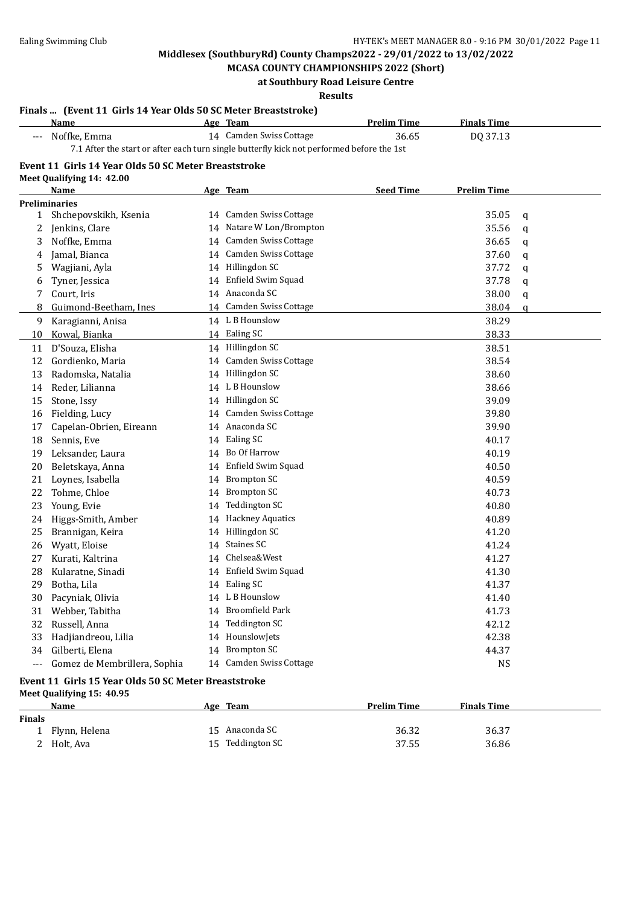**MCASA COUNTY CHAMPIONSHIPS 2022 (Short) at Southbury Road Leisure Centre**

**Results**

### **Finals ... (Event 11 Girls 14 Year Olds 50 SC Meter Breaststroke)**

|       | <b>Name</b>                                                                               | Age Team                 | <b>Prelim Time</b> | <b>Finals Time</b> |              |
|-------|-------------------------------------------------------------------------------------------|--------------------------|--------------------|--------------------|--------------|
|       | Noffke, Emma                                                                              | 14 Camden Swiss Cottage  | 36.65              | DQ 37.13           |              |
|       | 7.1 After the start or after each turn single butterfly kick not performed before the 1st |                          |                    |                    |              |
|       | Event 11 Girls 14 Year Olds 50 SC Meter Breaststroke                                      |                          |                    |                    |              |
|       | Meet Qualifying 14: 42.00                                                                 |                          |                    |                    |              |
|       | <b>Name</b>                                                                               | Age Team                 | <b>Seed Time</b>   | <b>Prelim Time</b> |              |
|       | <b>Preliminaries</b>                                                                      |                          |                    |                    |              |
|       | 1 Shchepovskikh, Ksenia                                                                   | 14 Camden Swiss Cottage  |                    | 35.05              | q            |
| 2     | Jenkins, Clare                                                                            | 14 Natare W Lon/Brompton |                    | 35.56              | $\mathbf{q}$ |
| 3     | Noffke, Emma                                                                              | 14 Camden Swiss Cottage  |                    | 36.65              | q            |
| 4     | Jamal, Bianca                                                                             | 14 Camden Swiss Cottage  |                    | 37.60              | q            |
| 5     | Wagjiani, Ayla                                                                            | 14 Hillingdon SC         |                    | 37.72              | q            |
| 6     | Tyner, Jessica                                                                            | 14 Enfield Swim Squad    |                    | 37.78              | q            |
| 7     | Court, Iris                                                                               | 14 Anaconda SC           |                    | 38.00              | q            |
| 8     | Guimond-Beetham, Ines                                                                     | 14 Camden Swiss Cottage  |                    | 38.04              | q            |
| 9     | Karagianni, Anisa                                                                         | 14 L B Hounslow          |                    | 38.29              |              |
| 10    | Kowal, Bianka                                                                             | 14 Ealing SC             |                    | 38.33              |              |
| 11    | D'Souza, Elisha                                                                           | 14 Hillingdon SC         |                    | 38.51              |              |
| 12    | Gordienko, Maria                                                                          | 14 Camden Swiss Cottage  |                    | 38.54              |              |
| 13    | Radomska, Natalia                                                                         | 14 Hillingdon SC         |                    | 38.60              |              |
| 14    | Reder, Lilianna                                                                           | 14 L B Hounslow          |                    | 38.66              |              |
| 15    | Stone, Issy                                                                               | 14 Hillingdon SC         |                    | 39.09              |              |
| 16    | Fielding, Lucy                                                                            | 14 Camden Swiss Cottage  |                    | 39.80              |              |
| 17    | Capelan-Obrien, Eireann                                                                   | 14 Anaconda SC           |                    | 39.90              |              |
| 18    | Sennis, Eve                                                                               | 14 Ealing SC             |                    | 40.17              |              |
| 19    | Leksander, Laura                                                                          | 14 Bo Of Harrow          |                    | 40.19              |              |
| 20    | Beletskaya, Anna                                                                          | 14 Enfield Swim Squad    |                    | 40.50              |              |
| 21    | Loynes, Isabella                                                                          | 14 Brompton SC           |                    | 40.59              |              |
| 22    | Tohme, Chloe                                                                              | 14 Brompton SC           |                    | 40.73              |              |
| 23    | Young, Evie                                                                               | 14 Teddington SC         |                    | 40.80              |              |
| 24    | Higgs-Smith, Amber                                                                        | 14 Hackney Aquatics      |                    | 40.89              |              |
| 25    | Brannigan, Keira                                                                          | 14 Hillingdon SC         |                    | 41.20              |              |
| 26    | Wyatt, Eloise                                                                             | 14 Staines SC            |                    | 41.24              |              |
| 27    | Kurati, Kaltrina                                                                          | 14 Chelsea&West          |                    | 41.27              |              |
| 28    | Kularatne, Sinadi                                                                         | 14 Enfield Swim Squad    |                    | 41.30              |              |
| 29    | Botha, Lila                                                                               | 14 Ealing SC             |                    | 41.37              |              |
| 30    | Pacyniak, Olivia                                                                          | 14 L B Hounslow          |                    | 41.40              |              |
| 31    | Webber, Tabitha                                                                           | 14 Broomfield Park       |                    | 41.73              |              |
| 32    | Russell, Anna                                                                             | 14 Teddington SC         |                    | 42.12              |              |
| 33    | Hadjiandreou, Lilia                                                                       | 14 HounslowJets          |                    | 42.38              |              |
| 34    | Gilberti, Elena                                                                           | 14 Brompton SC           |                    | 44.37              |              |
| $---$ | Gomez de Membrillera, Sophia                                                              | 14 Camden Swiss Cottage  |                    | <b>NS</b>          |              |

#### **Event 11 Girls 15 Year Olds 50 SC Meter Breaststroke Meet Qualifying 15: 40.95**

|               | Name          | Age Team         | <b>Prelim Time</b> | <b>Finals Time</b> |
|---------------|---------------|------------------|--------------------|--------------------|
| <b>Finals</b> |               |                  |                    |                    |
|               | Flynn, Helena | 15 Anaconda SC   | 36.32              | 36.37              |
|               | 2 Holt, Ava   | 15 Teddington SC | 37.55              | 36.86              |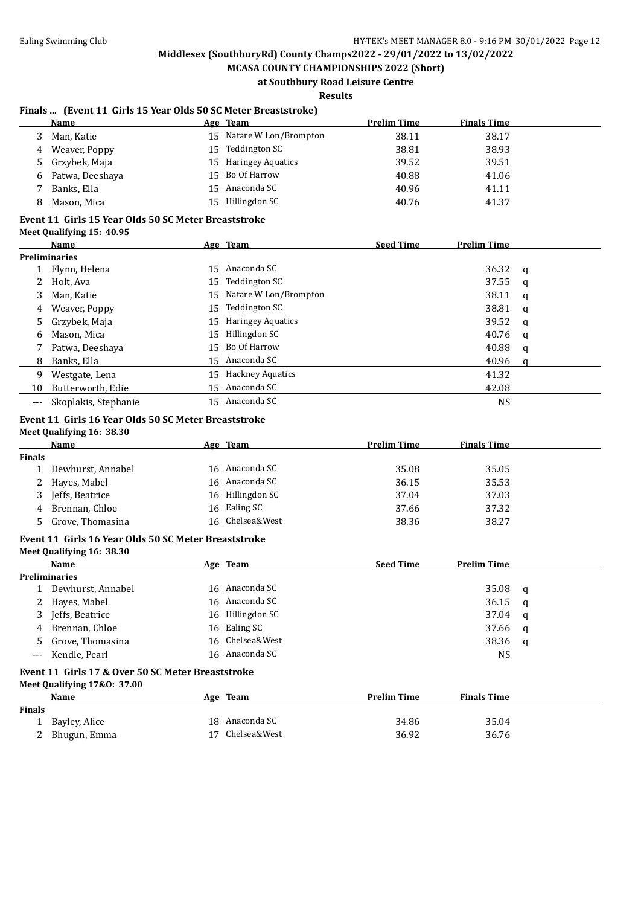**MCASA COUNTY CHAMPIONSHIPS 2022 (Short) at Southbury Road Leisure Centre**

**Results**

### **Finals ... (Event 11 Girls 15 Year Olds 50 SC Meter Breaststroke)**

| Name               | Age Team                 | <b>Prelim Time</b> | <b>Finals Time</b> |  |
|--------------------|--------------------------|--------------------|--------------------|--|
| Man, Katie         | 15 Natare W Lon/Brompton | 38.11              | 38.17              |  |
| Weaver, Poppy<br>4 | 15 Teddington SC         | 38.81              | 38.93              |  |
| 5 Grzybek, Maja    | 15 Haringey Aquatics     | 39.52              | 39.51              |  |
| 6 Patwa, Deeshaya  | 15 Bo Of Harrow          | 40.88              | 41.06              |  |
| Banks, Ella        | 15 Anaconda SC           | 40.96              | 41.11              |  |
| Mason, Mica<br>8   | 15 Hillingdon SC         | 40.76              | 41.37              |  |
|                    |                          |                    |                    |  |

#### **Event 11 Girls 15 Year Olds 50 SC Meter Breaststroke Meet Qualifying 15: 40.95**

|    | Name                 | Age Team                 | <b>Seed Time</b> | <b>Prelim Time</b> |          |
|----|----------------------|--------------------------|------------------|--------------------|----------|
|    | <b>Preliminaries</b> |                          |                  |                    |          |
|    | 1 Flynn, Helena      | 15 Anaconda SC           |                  | 36.32              | <b>a</b> |
|    | 2 Holt, Ava          | 15 Teddington SC         |                  | 37.55              | a        |
|    | 3 Man, Katie         | 15 Natare W Lon/Brompton |                  | 38.11              | a        |
| 4  | Weaver, Poppy        | 15 Teddington SC         |                  | 38.81              | a        |
|    | 5 Grzybek, Maja      | 15 Haringey Aquatics     |                  | 39.52              | q        |
| 6  | Mason, Mica          | 15 Hillingdon SC         |                  | 40.76              | q        |
|    | Patwa, Deeshaya      | 15 Bo Of Harrow          |                  | 40.88              | a        |
|    | 8 Banks, Ella        | 15 Anaconda SC           |                  | 40.96              | a        |
| 9  | Westgate, Lena       | 15 Hackney Aquatics      |                  | 41.32              |          |
| 10 | Butterworth, Edie    | 15 Anaconda SC           |                  | 42.08              |          |
|    | Skoplakis, Stephanie | 15 Anaconda SC           |                  | <b>NS</b>          |          |

#### **Event 11 Girls 16 Year Olds 50 SC Meter Breaststroke Meet Qualifying 16: 38.30**

|               | Name              |    | Age Team         | <b>Prelim Time</b> | <b>Finals Time</b> |
|---------------|-------------------|----|------------------|--------------------|--------------------|
| <b>Finals</b> |                   |    |                  |                    |                    |
|               | Dewhurst, Annabel |    | 16 Anaconda SC   | 35.08              | 35.05              |
|               | 2 Hayes, Mabel    |    | 16 Anaconda SC   | 36.15              | 35.53              |
|               | Jeffs, Beatrice   |    | 16 Hillingdon SC | 37.04              | 37.03              |
| 4             | Brennan, Chloe    | 16 | Ealing SC        | 37.66              | 37.32              |
|               | Grove, Thomasina  |    | 16 Chelsea&West  | 38.36              | 38.27              |

#### **Event 11 Girls 16 Year Olds 50 SC Meter Breaststroke**

**Meet Qualifying 16: 38.30**

| Name                 | Age Team         | <b>Seed Time</b> | <b>Prelim Time</b> |     |
|----------------------|------------------|------------------|--------------------|-----|
| <b>Preliminaries</b> |                  |                  |                    |     |
| 1 Dewhurst, Annabel  | 16 Anaconda SC   |                  | $35.08$ q          |     |
| 2 Hayes, Mabel       | 16 Anaconda SC   |                  | 36.15              | - a |
| 3 Jeffs, Beatrice    | 16 Hillingdon SC |                  | 37.04              | - a |
| 4 Brennan, Chloe     | 16 Ealing SC     |                  | 37.66              | - a |
| 5 Grove, Thomasina   | 16 Chelsea&West  |                  | 38.36              | - a |
| --- Kendle, Pearl    | 16 Anaconda SC   |                  | NS                 |     |

#### **Event 11 Girls 17 & Over 50 SC Meter Breaststroke Meet Qualifying 17&O: 37.00**

| $mct$ , $Q$ $mcm$ , $q$ $mg$ , $T$ $\alpha$ $\sigma$ . $\sigma$ $T$ . $\sigma\sigma$ |  |                                            |                    |
|--------------------------------------------------------------------------------------|--|--------------------------------------------|--------------------|
| Name                                                                                 |  | <b>Prelim Time</b>                         | <b>Finals Time</b> |
|                                                                                      |  |                                            |                    |
| Bayley, Alice                                                                        |  | 34.86                                      | 35.04              |
| Bhugun, Emma                                                                         |  | 36.92                                      | 36.76              |
|                                                                                      |  | Age Team<br>18 Anaconda SC<br>Chelsea&West |                    |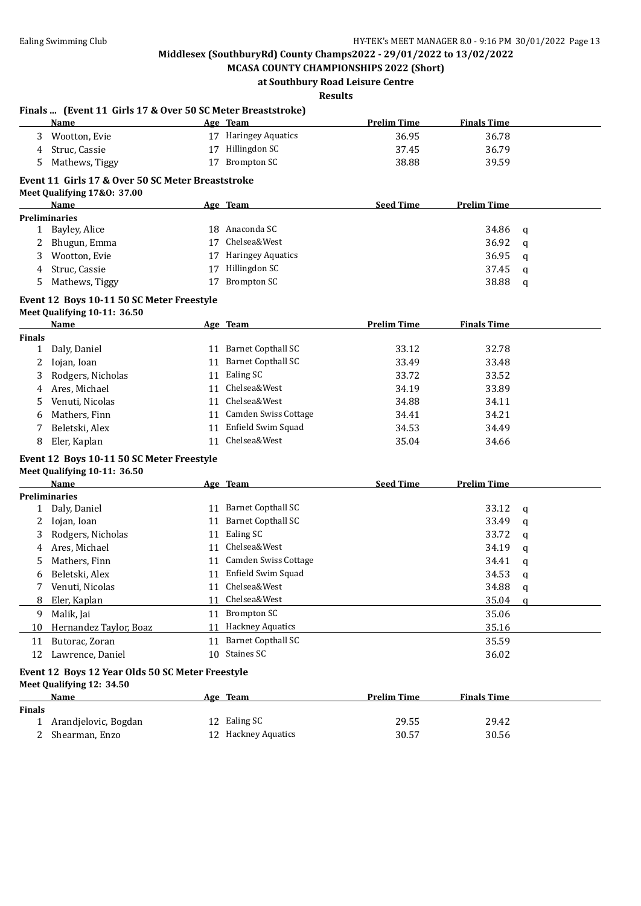**MCASA COUNTY CHAMPIONSHIPS 2022 (Short) at Southbury Road Leisure Centre**

# **Results**

|                               | Name                                                                          |    | Age Team                            | <b>Prelim Time</b> | <b>Finals Time</b> |             |
|-------------------------------|-------------------------------------------------------------------------------|----|-------------------------------------|--------------------|--------------------|-------------|
| 3                             | Wootton, Evie                                                                 |    | 17 Haringey Aquatics                | 36.95              | 36.78              |             |
| 4                             | Struc, Cassie                                                                 |    | 17 Hillingdon SC                    | 37.45              | 36.79              |             |
| 5.                            | Mathews, Tiggy                                                                |    | 17 Brompton SC                      | 38.88              | 39.59              |             |
|                               | Event 11 Girls 17 & Over 50 SC Meter Breaststroke                             |    |                                     |                    |                    |             |
|                               | Meet Qualifying 17&0: 37.00                                                   |    |                                     |                    |                    |             |
|                               | <b>Name</b>                                                                   |    | Age Team                            | <b>Seed Time</b>   | <b>Prelim Time</b> |             |
|                               | <b>Preliminaries</b>                                                          |    |                                     |                    |                    |             |
|                               | 1 Bayley, Alice                                                               |    | 18 Anaconda SC                      |                    | 34.86              | q           |
|                               | 2 Bhugun, Emma                                                                |    | 17 Chelsea&West                     |                    | 36.92              | q           |
| 3                             | Wootton, Evie                                                                 |    | 17 Haringey Aquatics                |                    | 36.95              | q           |
| 4                             | Struc, Cassie                                                                 |    | 17 Hillingdon SC                    |                    | 37.45              | q           |
| 5                             | Mathews, Tiggy                                                                | 17 | <b>Brompton SC</b>                  |                    | 38.88              | q           |
|                               | Event 12 Boys 10-11 50 SC Meter Freestyle<br>Meet Qualifying 10-11: 36.50     |    |                                     |                    |                    |             |
|                               | <b>Name</b>                                                                   |    | Age Team                            | <b>Prelim Time</b> | <b>Finals Time</b> |             |
| <b>Finals</b><br>$\mathbf{1}$ | Daly, Daniel                                                                  |    | 11 Barnet Copthall SC               | 33.12              | 32.78              |             |
| 2                             | Iojan, Ioan                                                                   |    | 11 Barnet Copthall SC               | 33.49              | 33.48              |             |
| 3                             | Rodgers, Nicholas                                                             |    | 11 Ealing SC                        | 33.72              | 33.52              |             |
| 4                             | Ares, Michael                                                                 | 11 | Chelsea&West                        | 34.19              | 33.89              |             |
| 5                             | Venuti, Nicolas                                                               | 11 | Chelsea&West                        | 34.88              | 34.11              |             |
|                               | Mathers, Finn                                                                 |    | 11 Camden Swiss Cottage             | 34.41              | 34.21              |             |
| 6<br>7                        | Beletski, Alex                                                                |    | 11 Enfield Swim Squad               | 34.53              | 34.49              |             |
|                               |                                                                               |    |                                     |                    |                    |             |
|                               |                                                                               |    |                                     |                    |                    |             |
| 8                             | Eler, Kaplan                                                                  | 11 | Chelsea&West                        | 35.04              | 34.66              |             |
|                               | Event 12 Boys 10-11 50 SC Meter Freestyle                                     |    |                                     |                    |                    |             |
|                               | Meet Qualifying 10-11: 36.50                                                  |    |                                     |                    |                    |             |
|                               | <b>Name</b>                                                                   |    | Age Team                            | <b>Seed Time</b>   | <b>Prelim Time</b> |             |
|                               | <b>Preliminaries</b>                                                          |    |                                     |                    |                    |             |
| 1                             | Daly, Daniel                                                                  |    | 11 Barnet Copthall SC               |                    | 33.12              | q           |
| 2                             | Iojan, Ioan                                                                   |    | 11 Barnet Copthall SC               |                    | 33.49              | q           |
| 3                             | Rodgers, Nicholas                                                             |    | 11 Ealing SC                        |                    | 33.72              | q           |
| 4                             | Ares, Michael                                                                 |    | 11 Chelsea&West                     |                    | 34.19              | q           |
| 5.                            | Mathers, Finn                                                                 |    | 11 Camden Swiss Cottage             |                    | 34.41              | q           |
| 6                             | Beletski, Alex                                                                |    | 11 Enfield Swim Squad               |                    | 34.53              | $\mathbf q$ |
|                               | 7 Venuti, Nicolas                                                             |    | 11 Chelsea&West                     |                    | 34.88              | $\mathbf q$ |
| 8                             | Eler, Kaplan                                                                  |    | 11 Chelsea&West                     |                    | 35.04              | a           |
| 9                             | Malik, Jai                                                                    |    | 11 Brompton SC                      |                    | 35.06              |             |
| 10                            | Hernandez Taylor, Boaz                                                        |    | 11 Hackney Aquatics                 |                    | 35.16              |             |
| 11                            | Butorac, Zoran                                                                |    | 11 Barnet Copthall SC               |                    | 35.59              |             |
| 12                            | Lawrence, Daniel                                                              |    | 10 Staines SC                       |                    | 36.02              |             |
|                               | Event 12 Boys 12 Year Olds 50 SC Meter Freestyle<br>Meet Qualifying 12: 34.50 |    |                                     |                    |                    |             |
|                               | Name                                                                          |    | Age Team                            | <b>Prelim Time</b> | <b>Finals Time</b> |             |
| <b>Finals</b>                 |                                                                               |    |                                     |                    |                    |             |
| 1<br>2                        | Arandjelovic, Bogdan<br>Shearman, Enzo                                        |    | 12 Ealing SC<br>12 Hackney Aquatics | 29.55<br>30.57     | 29.42<br>30.56     |             |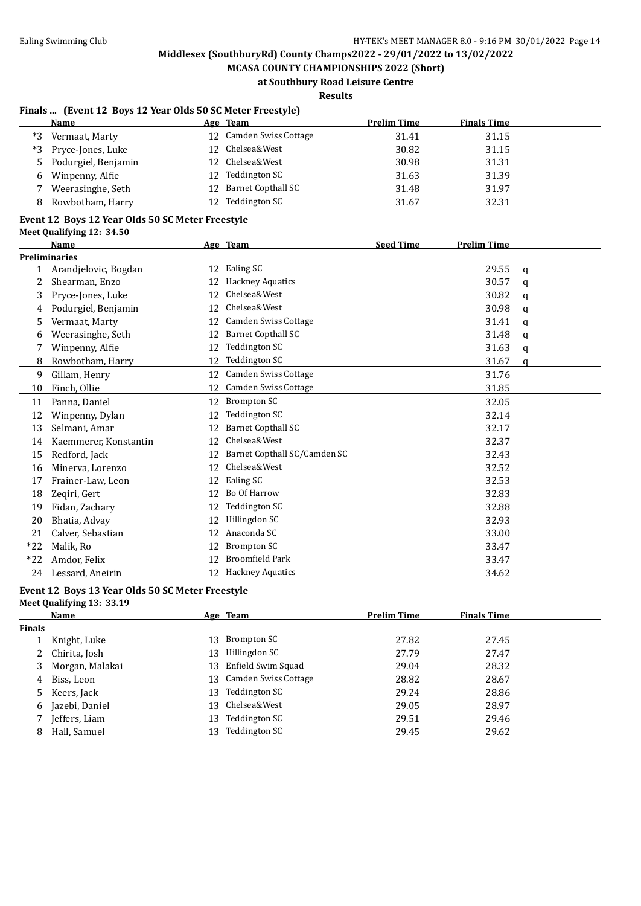**MCASA COUNTY CHAMPIONSHIPS 2022 (Short) at Southbury Road Leisure Centre**

**Results**

### **Finals ... (Event 12 Boys 12 Year Olds 50 SC Meter Freestyle)**

|   | Name                  |     | Age Team                | <b>Prelim Time</b> | <b>Finals Time</b> |
|---|-----------------------|-----|-------------------------|--------------------|--------------------|
|   | *3 Vermaat, Marty     |     | 12 Camden Swiss Cottage | 31.41              | 31.15              |
|   | *3 Pryce-Jones, Luke  |     | 12 Chelsea&West         | 30.82              | 31.15              |
|   | 5 Podurgiel, Benjamin |     | 12 Chelsea&West         | 30.98              | 31.31              |
| 6 | Winpenny, Alfie       | 12. | Teddington SC           | 31.63              | 31.39              |
|   | Weerasinghe, Seth     |     | 12 Barnet Copthall SC   | 31.48              | 31.97              |
| 8 | Rowbotham, Harry      |     | 12 Teddington SC        | 31.67              | 32.31              |
|   | ----                  |     |                         |                    |                    |

#### **Event 12 Boys 12 Year Olds 50 SC Meter Freestyle Meet Qualifying 12: 34.50**

|              | <b>Name</b>           |    | Age Team                     | <b>Seed Time</b> | <b>Prelim Time</b> |              |
|--------------|-----------------------|----|------------------------------|------------------|--------------------|--------------|
|              | <b>Preliminaries</b>  |    |                              |                  |                    |              |
| $\mathbf{1}$ | Arandjelovic, Bogdan  | 12 | Ealing SC                    |                  | 29.55              | $\mathbf{q}$ |
| 2            | Shearman, Enzo        | 12 | <b>Hackney Aquatics</b>      |                  | 30.57              | a            |
| 3            | Pryce-Jones, Luke     | 12 | Chelsea&West                 |                  | 30.82              | a            |
| 4            | Podurgiel, Benjamin   | 12 | Chelsea&West                 |                  | 30.98              | a            |
| 5            | Vermaat, Marty        | 12 | <b>Camden Swiss Cottage</b>  |                  | 31.41              | q            |
| 6            | Weerasinghe, Seth     | 12 | <b>Barnet Copthall SC</b>    |                  | 31.48              | a            |
|              | Winpenny, Alfie       | 12 | Teddington SC                |                  | 31.63              | a            |
| 8            | Rowbotham, Harry      | 12 | Teddington SC                |                  | 31.67              | q            |
| 9            | Gillam, Henry         | 12 | <b>Camden Swiss Cottage</b>  |                  | 31.76              |              |
| 10           | Finch, Ollie          | 12 | Camden Swiss Cottage         |                  | 31.85              |              |
| 11           | Panna, Daniel         | 12 | <b>Brompton SC</b>           |                  | 32.05              |              |
| 12           | Winpenny, Dylan       | 12 | Teddington SC                |                  | 32.14              |              |
| 13           | Selmani, Amar         | 12 | <b>Barnet Copthall SC</b>    |                  | 32.17              |              |
| 14           | Kaemmerer, Konstantin | 12 | Chelsea&West                 |                  | 32.37              |              |
| 15           | Redford, Jack         | 12 | Barnet Copthall SC/Camden SC |                  | 32.43              |              |
| 16           | Minerva, Lorenzo      | 12 | Chelsea&West                 |                  | 32.52              |              |
| 17           | Frainer-Law, Leon     | 12 | Ealing SC                    |                  | 32.53              |              |
| 18           | Zeqiri, Gert          | 12 | Bo Of Harrow                 |                  | 32.83              |              |
| 19           | Fidan, Zachary        | 12 | <b>Teddington SC</b>         |                  | 32.88              |              |
| 20           | Bhatia, Advay         | 12 | Hillingdon SC                |                  | 32.93              |              |
| 21           | Calver, Sebastian     | 12 | Anaconda SC                  |                  | 33.00              |              |
| $*22$        | Malik, Ro             | 12 | <b>Brompton SC</b>           |                  | 33.47              |              |
| $*22$        | Amdor, Felix          | 12 | <b>Broomfield Park</b>       |                  | 33.47              |              |
| 24           | Lessard, Aneirin      | 12 | <b>Hackney Aquatics</b>      |                  | 34.62              |              |

### **Event 12 Boys 13 Year Olds 50 SC Meter Freestyle**

**Meet Qualifying 13: 33.19**

|               | Name              |     | Age Team             | <b>Prelim Time</b> | <b>Finals Time</b> |
|---------------|-------------------|-----|----------------------|--------------------|--------------------|
| <b>Finals</b> |                   |     |                      |                    |                    |
|               | Knight, Luke      | 13. | Brompton SC          | 27.82              | 27.45              |
|               | 2 Chirita, Josh   |     | 13 Hillingdon SC     | 27.79              | 27.47              |
|               | 3 Morgan, Malakai | 13  | Enfield Swim Squad   | 29.04              | 28.32              |
| 4             | Biss, Leon        | 13  | Camden Swiss Cottage | 28.82              | 28.67              |
|               | 5 Keers, Jack     | 13. | Teddington SC        | 29.24              | 28.86              |
|               | 6 Jazebi, Daniel  |     | 13 Chelsea&West      | 29.05              | 28.97              |
|               | Jeffers, Liam     | 13. | Teddington SC        | 29.51              | 29.46              |
| 8             | Hall, Samuel      | 13  | Teddington SC        | 29.45              | 29.62              |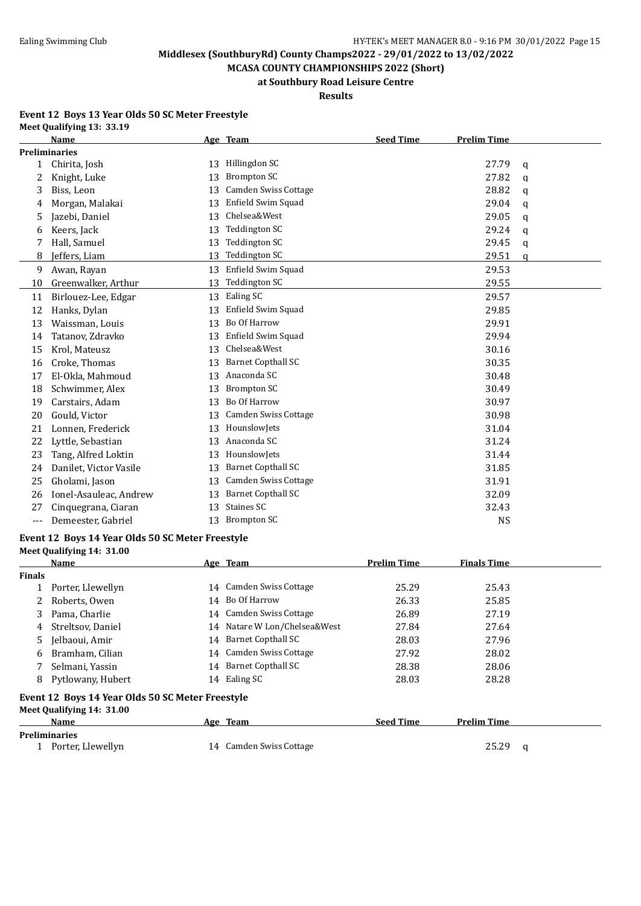**MCASA COUNTY CHAMPIONSHIPS 2022 (Short) at Southbury Road Leisure Centre**

## **Results**

#### **Event 12 Boys 13 Year Olds 50 SC Meter Freestyle Meet Qualifying 13: 33.19**

|              | <b>Name</b>            |    | Age Team                    | <b>Seed Time</b> | <b>Prelim Time</b> |              |
|--------------|------------------------|----|-----------------------------|------------------|--------------------|--------------|
|              | <b>Preliminaries</b>   |    |                             |                  |                    |              |
| $\mathbf{1}$ | Chirita, Josh          | 13 | Hillingdon SC               |                  | 27.79              | $\mathbf q$  |
| 2            | Knight, Luke           | 13 | <b>Brompton SC</b>          |                  | 27.82              | q            |
| 3            | Biss, Leon             | 13 | <b>Camden Swiss Cottage</b> |                  | 28.82              | $\mathbf{q}$ |
| 4            | Morgan, Malakai        | 13 | Enfield Swim Squad          |                  | 29.04              | a            |
| 5            | Jazebi, Daniel         | 13 | Chelsea&West                |                  | 29.05              | $\mathbf q$  |
| 6            | Keers, Jack            | 13 | <b>Teddington SC</b>        |                  | 29.24              | $\mathbf q$  |
|              | Hall, Samuel           | 13 | <b>Teddington SC</b>        |                  | 29.45              | $\mathbf q$  |
| 8            | Jeffers, Liam          | 13 | <b>Teddington SC</b>        |                  | 29.51              | q            |
| 9            | Awan, Rayan            | 13 | Enfield Swim Squad          |                  | 29.53              |              |
| 10           | Greenwalker, Arthur    | 13 | <b>Teddington SC</b>        |                  | 29.55              |              |
| 11           | Birlouez-Lee, Edgar    | 13 | Ealing SC                   |                  | 29.57              |              |
| 12           | Hanks, Dylan           | 13 | Enfield Swim Squad          |                  | 29.85              |              |
| 13           | Waissman, Louis        | 13 | Bo Of Harrow                |                  | 29.91              |              |
| 14           | Tatanov, Zdravko       | 13 | Enfield Swim Squad          |                  | 29.94              |              |
| 15           | Krol, Mateusz          | 13 | Chelsea&West                |                  | 30.16              |              |
| 16           | Croke, Thomas          | 13 | <b>Barnet Copthall SC</b>   |                  | 30.35              |              |
| 17           | El-Okla, Mahmoud       | 13 | Anaconda SC                 |                  | 30.48              |              |
| 18           | Schwimmer, Alex        | 13 | <b>Brompton SC</b>          |                  | 30.49              |              |
| 19           | Carstairs, Adam        | 13 | Bo Of Harrow                |                  | 30.97              |              |
| 20           | Gould, Victor          | 13 | Camden Swiss Cottage        |                  | 30.98              |              |
| 21           | Lonnen, Frederick      | 13 | HounslowJets                |                  | 31.04              |              |
| 22           | Lyttle, Sebastian      | 13 | Anaconda SC                 |                  | 31.24              |              |
| 23           | Tang, Alfred Loktin    | 13 | HounslowJets                |                  | 31.44              |              |
| 24           | Danilet, Victor Vasile | 13 | <b>Barnet Copthall SC</b>   |                  | 31.85              |              |
| 25           | Gholami, Jason         | 13 | <b>Camden Swiss Cottage</b> |                  | 31.91              |              |
| 26           | Ionel-Asauleac, Andrew | 13 | <b>Barnet Copthall SC</b>   |                  | 32.09              |              |
| 27           | Cinquegrana, Ciaran    | 13 | Staines SC                  |                  | 32.43              |              |
| $---$        | Demeester. Gabriel     | 13 | <b>Brompton SC</b>          |                  | <b>NS</b>          |              |

#### **Event 12 Boys 14 Year Olds 50 SC Meter Freestyle**

|  |  | Meet Qualifying 14: 31.00 |  |  |  |
|--|--|---------------------------|--|--|--|
|--|--|---------------------------|--|--|--|

|               | Name                                             |    | Age Team                     | <b>Prelim Time</b> | <b>Finals Time</b> |   |
|---------------|--------------------------------------------------|----|------------------------------|--------------------|--------------------|---|
| <b>Finals</b> |                                                  |    |                              |                    |                    |   |
|               | Porter, Llewellyn                                |    | 14 Camden Swiss Cottage      | 25.29              | 25.43              |   |
|               | Roberts, Owen                                    |    | 14 Bo Of Harrow              | 26.33              | 25.85              |   |
| 3             | Pama, Charlie                                    |    | 14 Camden Swiss Cottage      | 26.89              | 27.19              |   |
| 4             | Streltsov, Daniel                                |    | 14 Natare W Lon/Chelsea&West | 27.84              | 27.64              |   |
| 5.            | Jelbaoui, Amir                                   |    | 14 Barnet Copthall SC        | 28.03              | 27.96              |   |
| 6             | Bramham, Cilian                                  |    | 14 Camden Swiss Cottage      | 27.92              | 28.02              |   |
|               | Selmani, Yassin                                  |    | 14 Barnet Copthall SC        | 28.38              | 28.06              |   |
| 8             | Pytlowany, Hubert                                |    | 14 Ealing SC                 | 28.03              | 28.28              |   |
|               | Event 12 Boys 14 Year Olds 50 SC Meter Freestyle |    |                              |                    |                    |   |
|               | Meet Qualifying 14: 31.00                        |    |                              |                    |                    |   |
|               | Name                                             |    | Age Team                     | <b>Seed Time</b>   | <b>Prelim Time</b> |   |
|               | <b>Preliminaries</b>                             |    |                              |                    |                    |   |
|               | Porter, Llewellyn                                | 14 | Camden Swiss Cottage         |                    | 25.29              | a |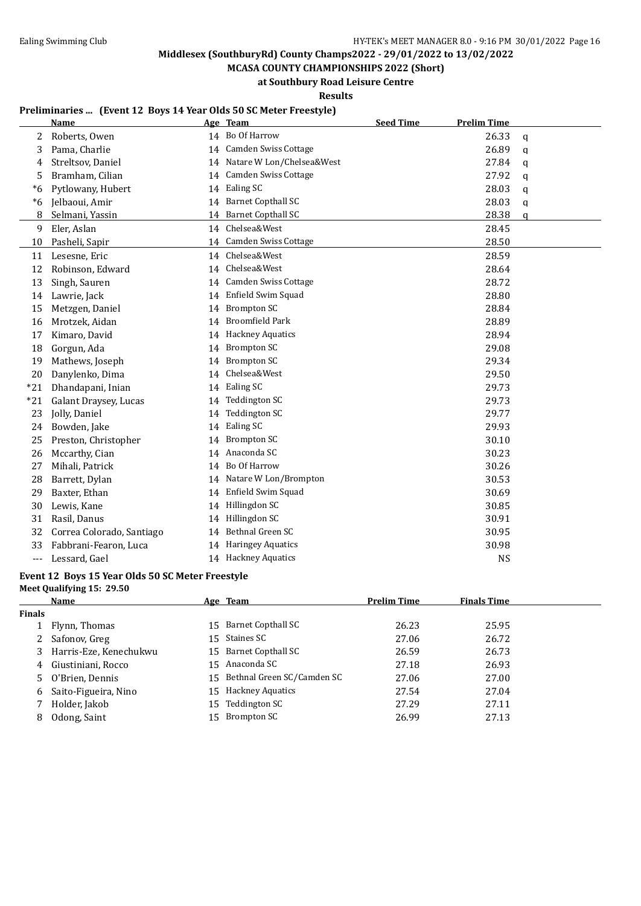**MCASA COUNTY CHAMPIONSHIPS 2022 (Short)**

**at Southbury Road Leisure Centre**

**Results**

### **Preliminaries ... (Event 12 Boys 14 Year Olds 50 SC Meter Freestyle)**

|       | Name                      |    | Age Team                     | <b>Seed Time</b> | <b>Prelim Time</b> |             |
|-------|---------------------------|----|------------------------------|------------------|--------------------|-------------|
| 2     | Roberts, Owen             |    | 14 Bo Of Harrow              |                  | 26.33              | $\mathbf q$ |
| 3     | Pama, Charlie             | 14 | Camden Swiss Cottage         |                  | 26.89              | q           |
| 4     | Streltsov, Daniel         |    | 14 Natare W Lon/Chelsea&West |                  | 27.84              | $\mathbf q$ |
| 5     | Bramham, Cilian           |    | 14 Camden Swiss Cottage      |                  | 27.92              | $\mathbf q$ |
| $*6$  | Pytlowany, Hubert         |    | 14 Ealing SC                 |                  | 28.03              | q           |
| $*6$  | Jelbaoui, Amir            |    | 14 Barnet Copthall SC        |                  | 28.03              | q           |
| 8     | Selmani, Yassin           | 14 | <b>Barnet Copthall SC</b>    |                  | 28.38              | a           |
| 9     | Eler, Aslan               |    | 14 Chelsea&West              |                  | 28.45              |             |
| 10    | Pasheli, Sapir            |    | 14 Camden Swiss Cottage      |                  | 28.50              |             |
| 11    | Lesesne, Eric             |    | 14 Chelsea&West              |                  | 28.59              |             |
| 12    | Robinson, Edward          | 14 | Chelsea&West                 |                  | 28.64              |             |
| 13    | Singh, Sauren             |    | 14 Camden Swiss Cottage      |                  | 28.72              |             |
| 14    | Lawrie, Jack              |    | 14 Enfield Swim Squad        |                  | 28.80              |             |
| 15    | Metzgen, Daniel           | 14 | <b>Brompton SC</b>           |                  | 28.84              |             |
| 16    | Mrotzek, Aidan            | 14 | <b>Broomfield Park</b>       |                  | 28.89              |             |
| 17    | Kimaro, David             | 14 | <b>Hackney Aquatics</b>      |                  | 28.94              |             |
| 18    | Gorgun, Ada               | 14 | <b>Brompton SC</b>           |                  | 29.08              |             |
| 19    | Mathews, Joseph           | 14 | <b>Brompton SC</b>           |                  | 29.34              |             |
| 20    | Danylenko, Dima           | 14 | Chelsea&West                 |                  | 29.50              |             |
| $*21$ | Dhandapani, Inian         | 14 | Ealing SC                    |                  | 29.73              |             |
| $*21$ | Galant Draysey, Lucas     | 14 | <b>Teddington SC</b>         |                  | 29.73              |             |
| 23    | Jolly, Daniel             | 14 | <b>Teddington SC</b>         |                  | 29.77              |             |
| 24    | Bowden, Jake              | 14 | Ealing SC                    |                  | 29.93              |             |
| 25    | Preston, Christopher      | 14 | <b>Brompton SC</b>           |                  | 30.10              |             |
| 26    | Mccarthy, Cian            | 14 | Anaconda SC                  |                  | 30.23              |             |
| 27    | Mihali, Patrick           | 14 | Bo Of Harrow                 |                  | 30.26              |             |
| 28    | Barrett, Dylan            |    | 14 Natare W Lon/Brompton     |                  | 30.53              |             |
| 29    | Baxter, Ethan             | 14 | Enfield Swim Squad           |                  | 30.69              |             |
| 30    | Lewis, Kane               | 14 | Hillingdon SC                |                  | 30.85              |             |
| 31    | Rasil, Danus              | 14 | Hillingdon SC                |                  | 30.91              |             |
| 32    | Correa Colorado, Santiago | 14 | Bethnal Green SC             |                  | 30.95              |             |
| 33    | Fabbrani-Fearon, Luca     | 14 | <b>Haringey Aquatics</b>     |                  | 30.98              |             |
| $---$ | Lessard, Gael             |    | 14 Hackney Aquatics          |                  | <b>NS</b>          |             |

### **Event 12 Boys 15 Year Olds 50 SC Meter Freestyle**

| Meet Qualifying 15: 29.50 |  |
|---------------------------|--|
|                           |  |

|        | Name                   |     | <u>Age Team</u>               | <b>Prelim Time</b> | <b>Finals Time</b> |
|--------|------------------------|-----|-------------------------------|--------------------|--------------------|
| Finals |                        |     |                               |                    |                    |
|        | Flynn, Thomas          | 15. | Barnet Copthall SC            | 26.23              | 25.95              |
| 2      | Safonov, Greg          |     | 15 Staines SC                 | 27.06              | 26.72              |
| 3      | Harris-Eze, Kenechukwu |     | 15 Barnet Copthall SC         | 26.59              | 26.73              |
| 4      | Giustiniani, Rocco     | 15  | Anaconda SC                   | 27.18              | 26.93              |
| 5      | O'Brien, Dennis        |     | 15 Bethnal Green SC/Camden SC | 27.06              | 27.00              |
| 6      | Saito-Figueira, Nino   | 15  | <b>Hackney Aquatics</b>       | 27.54              | 27.04              |
|        | Holder, Jakob          |     | 15 Teddington SC              | 27.29              | 27.11              |
| 8      | Odong, Saint           | 15. | Brompton SC                   | 26.99              | 27.13              |
|        |                        |     |                               |                    |                    |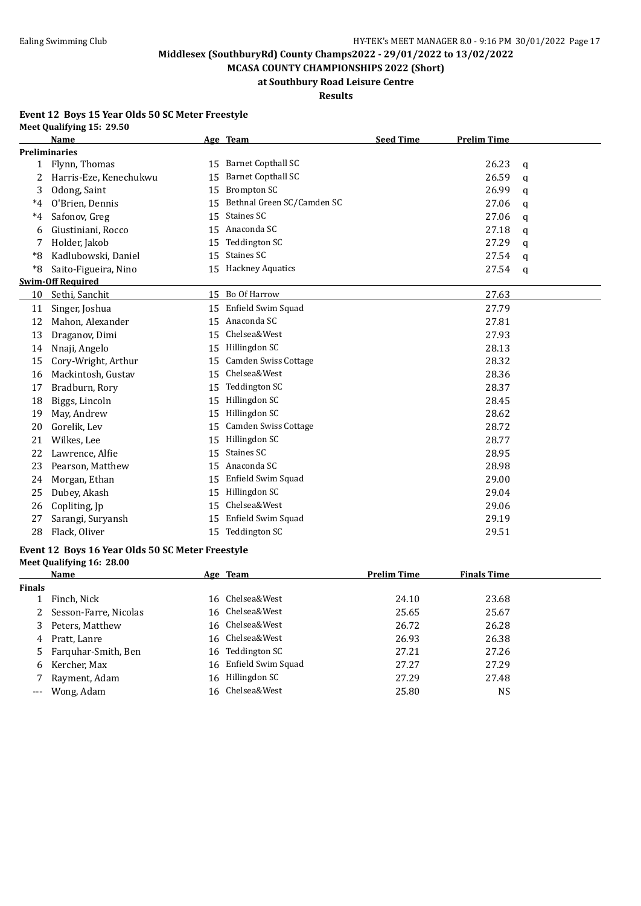**MCASA COUNTY CHAMPIONSHIPS 2022 (Short) at Southbury Road Leisure Centre**

# **Results**

#### **Event 12 Boys 15 Year Olds 50 SC Meter Freestyle Meet Qualifying 15: 29.50**

|      | <b>Name</b>              |    | Age Team                    | <b>Seed Time</b> | <b>Prelim Time</b> |              |
|------|--------------------------|----|-----------------------------|------------------|--------------------|--------------|
|      | <b>Preliminaries</b>     |    |                             |                  |                    |              |
| 1    | Flynn, Thomas            | 15 | <b>Barnet Copthall SC</b>   |                  | 26.23              | a            |
| 2    | Harris-Eze, Kenechukwu   | 15 | <b>Barnet Copthall SC</b>   |                  | 26.59              | q            |
| 3    | Odong, Saint             | 15 | <b>Brompton SC</b>          |                  | 26.99              | $\mathbf{q}$ |
| $*4$ | O'Brien, Dennis          | 15 | Bethnal Green SC/Camden SC  |                  | 27.06              | q            |
| $*4$ | Safonov, Greg            | 15 | Staines SC                  |                  | 27.06              | q            |
| 6    | Giustiniani, Rocco       | 15 | Anaconda SC                 |                  | 27.18              | q            |
|      | Holder, Jakob            | 15 | <b>Teddington SC</b>        |                  | 27.29              | q            |
| *8   | Kadlubowski, Daniel      | 15 | Staines SC                  |                  | 27.54              | $\mathbf q$  |
| *8   | Saito-Figueira, Nino     |    | 15 Hackney Aquatics         |                  | 27.54              | q            |
|      | <b>Swim-Off Required</b> |    |                             |                  |                    |              |
| 10   | Sethi, Sanchit           |    | 15 Bo Of Harrow             |                  | 27.63              |              |
| 11   | Singer, Joshua           | 15 | Enfield Swim Squad          |                  | 27.79              |              |
| 12   | Mahon, Alexander         | 15 | Anaconda SC                 |                  | 27.81              |              |
| 13   | Draganov, Dimi           | 15 | Chelsea&West                |                  | 27.93              |              |
| 14   | Nnaji, Angelo            | 15 | Hillingdon SC               |                  | 28.13              |              |
| 15   | Cory-Wright, Arthur      | 15 | <b>Camden Swiss Cottage</b> |                  | 28.32              |              |
| 16   | Mackintosh, Gustav       | 15 | Chelsea&West                |                  | 28.36              |              |
| 17   | Bradburn, Rory           | 15 | <b>Teddington SC</b>        |                  | 28.37              |              |
| 18   | Biggs, Lincoln           | 15 | Hillingdon SC               |                  | 28.45              |              |
| 19   | May, Andrew              | 15 | Hillingdon SC               |                  | 28.62              |              |
| 20   | Gorelik, Lev             | 15 | <b>Camden Swiss Cottage</b> |                  | 28.72              |              |
| 21   | Wilkes, Lee              | 15 | Hillingdon SC               |                  | 28.77              |              |
| 22   | Lawrence, Alfie          | 15 | Staines SC                  |                  | 28.95              |              |
| 23   | Pearson, Matthew         | 15 | Anaconda SC                 |                  | 28.98              |              |
| 24   | Morgan, Ethan            | 15 | Enfield Swim Squad          |                  | 29.00              |              |
| 25   | Dubey, Akash             | 15 | Hillingdon SC               |                  | 29.04              |              |
| 26   | Copliting, Jp            | 15 | Chelsea&West                |                  | 29.06              |              |
| 27   | Sarangi, Suryansh        | 15 | Enfield Swim Squad          |                  | 29.19              |              |
| 28   | Flack, Oliver            | 15 | <b>Teddington SC</b>        |                  | 29.51              |              |

#### **Event 12 Boys 16 Year Olds 50 SC Meter Freestyle Meet Qualifying 16: 28.00**

|               | Name                    | Age Team              | <b>Prelim Time</b> | <b>Finals Time</b> |  |
|---------------|-------------------------|-----------------------|--------------------|--------------------|--|
| <b>Finals</b> |                         |                       |                    |                    |  |
|               | Finch, Nick             | 16 Chelsea&West       | 24.10              | 23.68              |  |
|               | 2 Sesson-Farre, Nicolas | 16 Chelsea&West       | 25.65              | 25.67              |  |
|               | 3 Peters, Matthew       | 16 Chelsea&West       | 26.72              | 26.28              |  |
| 4             | Pratt, Lanre            | 16 Chelsea&West       | 26.93              | 26.38              |  |
|               | 5 Farguhar-Smith, Ben   | 16 Teddington SC      | 27.21              | 27.26              |  |
|               | 6 Kercher, Max          | 16 Enfield Swim Squad | 27.27              | 27.29              |  |
|               | Rayment, Adam           | 16 Hillingdon SC      | 27.29              | 27.48              |  |
|               | --- Wong, Adam          | 16 Chelsea&West       | 25.80              | <b>NS</b>          |  |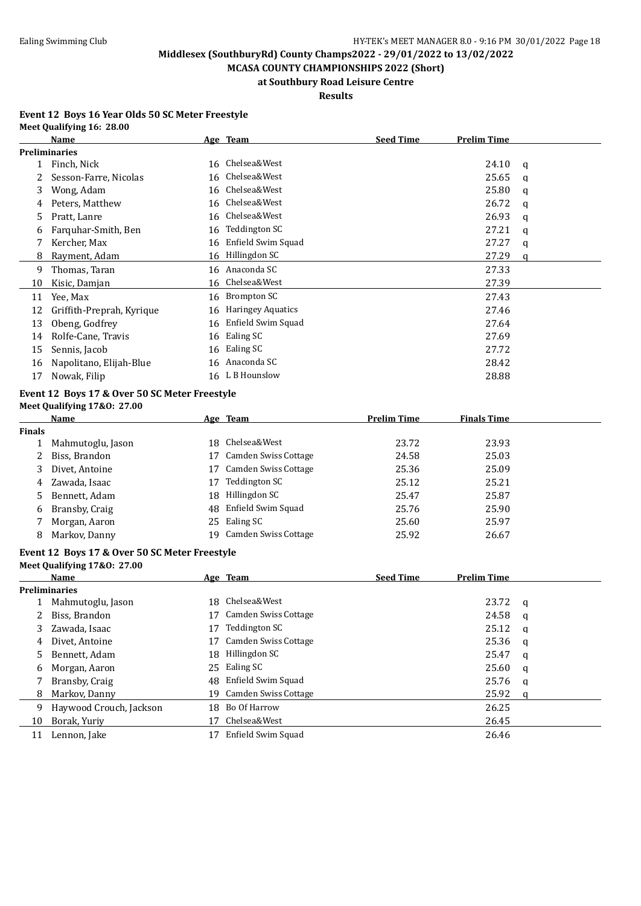**MCASA COUNTY CHAMPIONSHIPS 2022 (Short) at Southbury Road Leisure Centre**

### **Results**

#### **Event 12 Boys 16 Year Olds 50 SC Meter Freestyle Meet Qualifying 16: 28.00**

| 24.10<br>q<br>25.65<br>q |
|--------------------------|
|                          |
|                          |
|                          |
| 25.80<br>$\mathbf q$     |
| 26.72<br>q               |
| 26.93<br>q               |
| 27.21<br>q               |
| 27.27<br>q               |
| 27.29<br>$\mathbf q$     |
| 27.33                    |
| 27.39                    |
| 27.43                    |
| 27.46                    |
| 27.64                    |
| 27.69                    |
| 27.72                    |
| 28.42                    |
| 28.88                    |
|                          |
|                          |
| <b>Finals Time</b>       |
|                          |
| 23.93                    |
| 25.03                    |
| 25.09                    |
| 25.21                    |
| 25.87                    |
| 25.90                    |
| 25.97                    |
| 26.67                    |
|                          |
|                          |
| <b>Prelim Time</b>       |
|                          |
| 23.72<br>$\mathbf q$     |
| 24.58<br>a               |
| 25.12<br>q               |
| 25.36<br>q               |
| 25.47<br>q               |
| 25.60<br>q               |
| 25.76<br>q               |
| 25.92<br>$\mathbf q$     |
| 26.25                    |
| 26.45                    |
| 26.46                    |
|                          |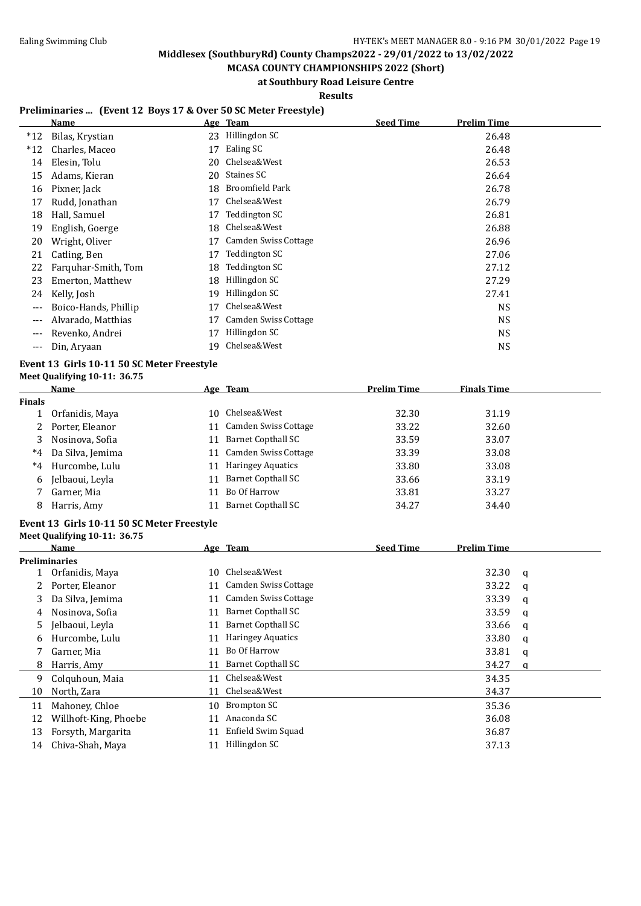**MCASA COUNTY CHAMPIONSHIPS 2022 (Short) at Southbury Road Leisure Centre**

**Results**

### **Preliminaries ... (Event 12 Boys 17 & Over 50 SC Meter Freestyle)**

|       | Name                 |    | Age Team             | <b>Seed Time</b> | <b>Prelim Time</b> |
|-------|----------------------|----|----------------------|------------------|--------------------|
| $*12$ | Bilas, Krystian      | 23 | Hillingdon SC        |                  | 26.48              |
| $*12$ | Charles, Maceo       | 17 | Ealing SC            |                  | 26.48              |
| 14    | Elesin, Tolu         | 20 | Chelsea&West         |                  | 26.53              |
| 15    | Adams, Kieran        | 20 | Staines SC           |                  | 26.64              |
| 16    | Pixner, Jack         | 18 | Broomfield Park      |                  | 26.78              |
| 17    | Rudd, Jonathan       | 17 | Chelsea&West         |                  | 26.79              |
| 18    | Hall, Samuel         | 17 | Teddington SC        |                  | 26.81              |
| 19    | English, Goerge      | 18 | Chelsea&West         |                  | 26.88              |
| 20    | Wright, Oliver       | 17 | Camden Swiss Cottage |                  | 26.96              |
| 21    | Catling, Ben         | 17 | Teddington SC        |                  | 27.06              |
| 22    | Farquhar-Smith, Tom  | 18 | Teddington SC        |                  | 27.12              |
| 23    | Emerton, Matthew     | 18 | Hillingdon SC        |                  | 27.29              |
| 24    | Kelly, Josh          | 19 | Hillingdon SC        |                  | 27.41              |
|       | Boico-Hands, Phillip | 17 | Chelsea&West         |                  | NS.                |
|       | Alvarado, Matthias   | 17 | Camden Swiss Cottage |                  | <b>NS</b>          |
|       | Revenko, Andrei      | 17 | Hillingdon SC        |                  | <b>NS</b>          |
| $---$ | Din, Aryaan          | 19 | Chelsea&West         |                  | NS                 |

#### **Event 13 Girls 10-11 50 SC Meter Freestyle Meet Qualifying 10-11: 36.75**

|        | Name             |     | Age Team                  | <b>Prelim Time</b> | <b>Finals Time</b> |
|--------|------------------|-----|---------------------------|--------------------|--------------------|
| Finals |                  |     |                           |                    |                    |
|        | Orfanidis, Maya  | 10. | Chelsea&West              | 32.30              | 31.19              |
|        | Porter, Eleanor  |     | Camden Swiss Cottage      | 33.22              | 32.60              |
| 3      | Nosinova, Sofia  | 11  | Barnet Copthall SC        | 33.59              | 33.07              |
| $^*4$  | Da Silva, Jemima |     | 11 Camden Swiss Cottage   | 33.39              | 33.08              |
| $*4$   | Hurcombe, Lulu   |     | <b>Haringey Aquatics</b>  | 33.80              | 33.08              |
| 6      | Jelbaoui, Levla  | 11  | Barnet Copthall SC        | 33.66              | 33.19              |
|        | Garner, Mia      |     | Bo Of Harrow              | 33.81              | 33.27              |
| 8      | Harris, Amy      |     | <b>Barnet Copthall SC</b> | 34.27              | 34.40              |

## **Event 13 Girls 10-11 50 SC Meter Freestyle**

#### **Meet Qualifying 10-11: 36.75**

|    | Name                  |    | Age Team                  | <b>Seed Time</b> | <b>Prelim Time</b> |   |
|----|-----------------------|----|---------------------------|------------------|--------------------|---|
|    | <b>Preliminaries</b>  |    |                           |                  |                    |   |
|    | Orfanidis, Maya       | 10 | Chelsea&West              |                  | 32.30              | q |
|    | Porter, Eleanor       | 11 | Camden Swiss Cottage      |                  | 33.22              | a |
| 3  | Da Silva, Jemima      | 11 | Camden Swiss Cottage      |                  | 33.39              | q |
| 4  | Nosinova, Sofia       | 11 | Barnet Copthall SC        |                  | 33.59              | a |
| 5  | Jelbaoui, Levla       | 11 | <b>Barnet Copthall SC</b> |                  | 33.66              | q |
| 6  | Hurcombe, Lulu        | 11 | <b>Haringey Aquatics</b>  |                  | 33.80              | a |
|    | Garner, Mia           | 11 | Bo Of Harrow              |                  | 33.81              | q |
| 8  | Harris, Amy           | 11 | Barnet Copthall SC        |                  | 34.27              | a |
| 9  | Colquhoun, Maia       | 11 | Chelsea&West              |                  | 34.35              |   |
| 10 | North, Zara           | 11 | Chelsea&West              |                  | 34.37              |   |
| 11 | Mahoney, Chloe        | 10 | Brompton SC               |                  | 35.36              |   |
| 12 | Willhoft-King, Phoebe | 11 | Anaconda SC               |                  | 36.08              |   |
| 13 | Forsyth, Margarita    | 11 | Enfield Swim Squad        |                  | 36.87              |   |
| 14 | Chiva-Shah, Maya      |    | Hillingdon SC             |                  | 37.13              |   |
|    |                       |    |                           |                  |                    |   |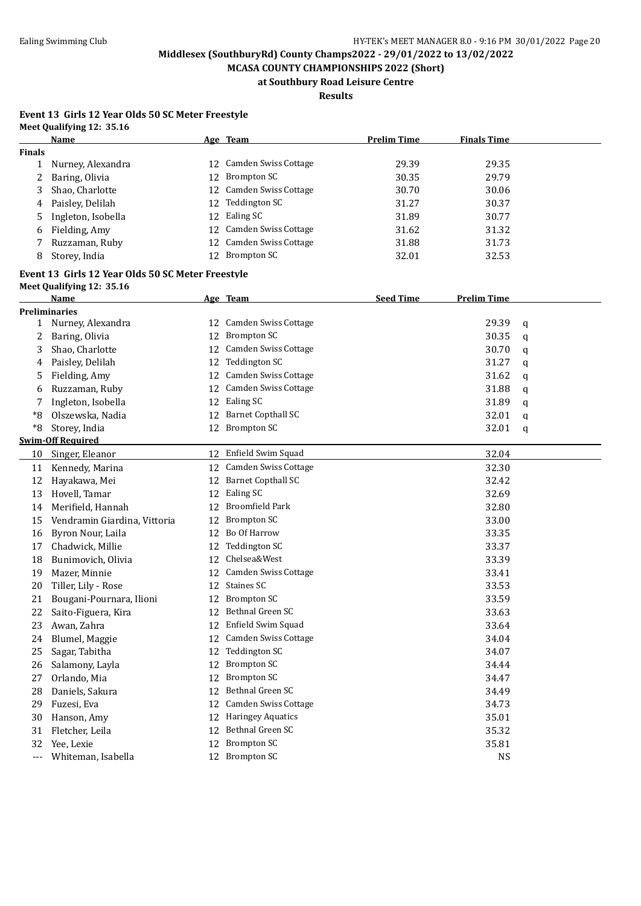**MCASA COUNTY CHAMPIONSHIPS 2022 (Short) at Southbury Road Leisure Centre**

**Results**

#### **Event 13 Girls 12 Year Olds 50 SC Meter Freestyle Meet Qualifying 12: 35.16**

|               | Name                                              |    | Age Team                 | <b>Prelim Time</b> | <b>Finals Time</b> |   |
|---------------|---------------------------------------------------|----|--------------------------|--------------------|--------------------|---|
| <b>Finals</b> |                                                   |    |                          |                    |                    |   |
| 1             | Nurney, Alexandra                                 |    | 12 Camden Swiss Cottage  | 29.39              | 29.35              |   |
| 2             | Baring, Olivia                                    | 12 | <b>Brompton SC</b>       | 30.35              | 29.79              |   |
| 3             | Shao, Charlotte                                   | 12 | Camden Swiss Cottage     | 30.70              | 30.06              |   |
| 4             | Paisley, Delilah                                  | 12 | Teddington SC            | 31.27              | 30.37              |   |
| 5             | Ingleton, Isobella                                | 12 | Ealing SC                | 31.89              | 30.77              |   |
| 6             | Fielding, Amy                                     | 12 | Camden Swiss Cottage     | 31.62              | 31.32              |   |
| 7             | Ruzzaman, Ruby                                    | 12 | Camden Swiss Cottage     | 31.88              | 31.73              |   |
| 8             | Storey, India                                     |    | 12 Brompton SC           | 32.01              | 32.53              |   |
|               | Event 13 Girls 12 Year Olds 50 SC Meter Freestyle |    |                          |                    |                    |   |
|               |                                                   |    |                          |                    |                    |   |
|               | Meet Qualifying 12: 35.16<br>Name                 |    | Age Team                 | <b>Seed Time</b>   | <b>Prelim Time</b> |   |
|               | <b>Preliminaries</b>                              |    |                          |                    |                    |   |
| 1             | Nurney, Alexandra                                 |    | 12 Camden Swiss Cottage  |                    | 29.39              | q |
| 2             | Baring, Olivia                                    | 12 | <b>Brompton SC</b>       |                    | 30.35              | q |
| 3             | Shao, Charlotte                                   | 12 | Camden Swiss Cottage     |                    | 30.70              | q |
| 4             | Paisley, Delilah                                  | 12 | Teddington SC            |                    | 31.27              | q |
| 5             | Fielding, Amy                                     | 12 | Camden Swiss Cottage     |                    | 31.62              | q |
| 6             | Ruzzaman, Ruby                                    |    | 12 Camden Swiss Cottage  |                    | 31.88              |   |
|               | Ingleton, Isobella                                |    | 12 Ealing SC             |                    | 31.89              | q |
| *8            | Olszewska, Nadia                                  |    | 12 Barnet Copthall SC    |                    | 32.01              | q |
|               |                                                   |    | 12 Brompton SC           |                    |                    | q |
| *8            | Storey, India<br><b>Swim-Off Required</b>         |    |                          |                    | 32.01              | q |
| 10            | Singer, Eleanor                                   |    | 12 Enfield Swim Squad    |                    | 32.04              |   |
|               |                                                   |    | 12 Camden Swiss Cottage  |                    |                    |   |
| 11            | Kennedy, Marina                                   |    |                          |                    | 32.30              |   |
| 12            | Hayakawa, Mei                                     |    | 12 Barnet Copthall SC    |                    | 32.42              |   |
| 13            | Hovell, Tamar                                     | 12 | Ealing SC                |                    | 32.69              |   |
| 14            | Merifield, Hannah                                 | 12 | <b>Broomfield Park</b>   |                    | 32.80              |   |
| 15            | Vendramin Giardina, Vittoria                      | 12 | <b>Brompton SC</b>       |                    | 33.00              |   |
| 16            | Byron Nour, Laila                                 |    | 12 Bo Of Harrow          |                    | 33.35              |   |
| 17            | Chadwick, Millie                                  | 12 | <b>Teddington SC</b>     |                    | 33.37              |   |
| 18            | Bunimovich, Olivia                                | 12 | Chelsea&West             |                    | 33.39              |   |
| 19            | Mazer, Minnie                                     |    | 12 Camden Swiss Cottage  |                    | 33.41              |   |
| 20            | Tiller, Lily - Rose                               |    | 12 Staines SC            |                    | 33.53              |   |
| 21            | Bougani-Pournara, Ilioni                          |    | 12 Brompton SC           |                    | 33.59              |   |
| 22            | Saito-Figuera, Kira                               |    | 12 Bethnal Green SC      |                    | 33.63              |   |
| 23            | Awan, Zahra                                       |    | 12 Enfield Swim Squad    |                    | 33.64              |   |
| 24            | Blumel, Maggie                                    | 12 | Camden Swiss Cottage     |                    | 34.04              |   |
| 25            | Sagar, Tabitha                                    | 12 | Teddington SC            |                    | 34.07              |   |
| 26            | Salamony, Layla                                   | 12 | <b>Brompton SC</b>       |                    | 34.44              |   |
| 27            | Orlando, Mia                                      | 12 | <b>Brompton SC</b>       |                    | 34.47              |   |
| 28            | Daniels, Sakura                                   | 12 | Bethnal Green SC         |                    | 34.49              |   |
| 29            | Fuzesi, Eva                                       | 12 | Camden Swiss Cottage     |                    | 34.73              |   |
| 30            | Hanson, Amy                                       | 12 | <b>Haringey Aquatics</b> |                    | 35.01              |   |
| 31            | Fletcher, Leila                                   | 12 | Bethnal Green SC         |                    | 35.32              |   |
| 32            | Yee, Lexie                                        | 12 | <b>Brompton SC</b>       |                    | 35.81              |   |
| ---           | Whiteman, Isabella                                |    | 12 Brompton SC           |                    | <b>NS</b>          |   |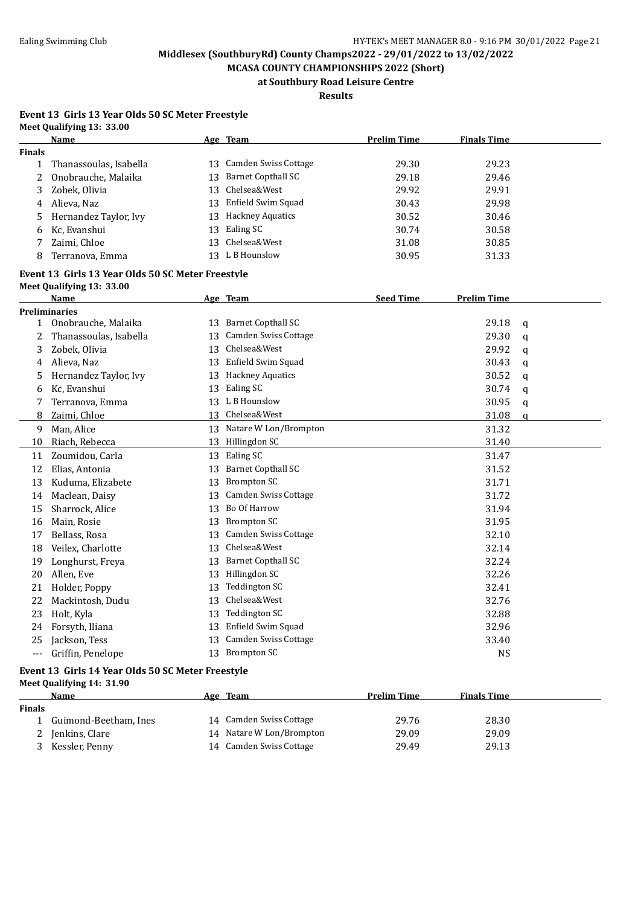**MCASA COUNTY CHAMPIONSHIPS 2022 (Short) at Southbury Road Leisure Centre**

**Results**

#### **Event 13 Girls 13 Year Olds 50 SC Meter Freestyle Meet Qualifying 13: 33.00**

|                   | <u>Name</u>                                       |    | Age Team                  | <b>Prelim Time</b> | <b>Finals Time</b> |   |
|-------------------|---------------------------------------------------|----|---------------------------|--------------------|--------------------|---|
| <b>Finals</b>     |                                                   |    |                           |                    |                    |   |
| 1                 | Thanassoulas, Isabella                            |    | 13 Camden Swiss Cottage   | 29.30              | 29.23              |   |
| 2                 | Onobrauche, Malaika                               | 13 | <b>Barnet Copthall SC</b> | 29.18              | 29.46              |   |
| 3                 | Zobek, Olivia                                     | 13 | Chelsea&West              | 29.92              | 29.91              |   |
| 4                 | Alieva, Naz                                       | 13 | Enfield Swim Squad        | 30.43              | 29.98              |   |
| 5                 | Hernandez Taylor, Ivy                             | 13 | <b>Hackney Aquatics</b>   | 30.52              | 30.46              |   |
| 6                 | Kc, Evanshui                                      | 13 | Ealing SC                 | 30.74              | 30.58              |   |
|                   | Zaimi, Chloe                                      | 13 | Chelsea&West              | 31.08              | 30.85              |   |
| 8                 | Terranova, Emma                                   |    | 13 L B Hounslow           | 30.95              | 31.33              |   |
|                   | Event 13 Girls 13 Year Olds 50 SC Meter Freestyle |    |                           |                    |                    |   |
|                   | Meet Qualifying 13: 33.00                         |    |                           |                    |                    |   |
|                   | Name                                              |    | Age Team                  | <b>Seed Time</b>   | <b>Prelim Time</b> |   |
|                   | <b>Preliminaries</b>                              |    |                           |                    |                    |   |
| 1                 | Onobrauche, Malaika                               |    | 13 Barnet Copthall SC     |                    | 29.18              | q |
| 2                 | Thanassoulas, Isabella                            | 13 | Camden Swiss Cottage      |                    | 29.30              | q |
| 3                 | Zobek, Olivia                                     | 13 | Chelsea&West              |                    | 29.92              | q |
| 4                 | Alieva, Naz                                       |    | 13 Enfield Swim Squad     |                    | 30.43              | q |
| 5                 | Hernandez Taylor, Ivy                             |    | 13 Hackney Aquatics       |                    | 30.52              | q |
| 6                 | Kc, Evanshui                                      |    | 13 Ealing SC              |                    | 30.74              | q |
| 7                 | Terranova, Emma                                   |    | 13 L B Hounslow           |                    | 30.95              | q |
| 8                 | Zaimi, Chloe                                      |    | 13 Chelsea&West           |                    | 31.08              | q |
| 9                 | Man, Alice                                        |    | 13 Natare W Lon/Brompton  |                    | 31.32              |   |
| 10                | Riach, Rebecca                                    |    | 13 Hillingdon SC          |                    | 31.40              |   |
| 11                | Zoumidou, Carla                                   |    | 13 Ealing SC              |                    | 31.47              |   |
| 12                | Elias, Antonia                                    |    | 13 Barnet Copthall SC     |                    | 31.52              |   |
| 13                | Kuduma, Elizabete                                 | 13 | <b>Brompton SC</b>        |                    | 31.71              |   |
| 14                | Maclean, Daisy                                    | 13 | Camden Swiss Cottage      |                    | 31.72              |   |
| 15                | Sharrock, Alice                                   |    | 13 Bo Of Harrow           |                    | 31.94              |   |
| 16                | Main, Rosie                                       | 13 | <b>Brompton SC</b>        |                    | 31.95              |   |
| 17                | Bellass, Rosa                                     | 13 | Camden Swiss Cottage      |                    | 32.10              |   |
| 18                | Veilex, Charlotte                                 | 13 | Chelsea&West              |                    | 32.14              |   |
| 19                | Longhurst, Freya                                  |    | 13 Barnet Copthall SC     |                    | 32.24              |   |
| 20                | Allen, Eve                                        |    | 13 Hillingdon SC          |                    | 32.26              |   |
| 21                | Holder, Poppy                                     |    | 13 Teddington SC          |                    | 32.41              |   |
| 22                | Mackintosh, Dudu                                  |    | 13 Chelsea&West           |                    | 32.76              |   |
| 23                | Holt, Kyla                                        |    | 13 Teddington SC          |                    | 32.88              |   |
|                   | 24 Forsyth, Iliana                                |    | 13 Enfield Swim Squad     |                    | 32.96              |   |
| 25                | Jackson, Tess                                     |    | 13 Camden Swiss Cottage   |                    | 33.40              |   |
| $\qquad \qquad -$ | Griffin, Penelope                                 |    | 13 Brompton SC            |                    | <b>NS</b>          |   |
|                   | Event 13 Girls 14 Year Olds 50 SC Meter Freestyle |    |                           |                    |                    |   |
|                   | Meet Qualifying 14: 31.90                         |    |                           |                    |                    |   |
|                   | <u>Name</u>                                       |    | Age Team                  | <b>Prelim Time</b> | <b>Finals Time</b> |   |
| <b>Finals</b>     |                                                   |    |                           |                    |                    |   |
| 1                 | Guimond-Beetham, Ines                             |    | 14 Camden Swiss Cottage   | 29.76              | 28.30              |   |
| 2                 | Jenkins, Clare                                    |    | 14 Natare W Lon/Brompton  | 29.09              | 29.09              |   |
| 3                 | Kessler, Penny                                    |    | 14 Camden Swiss Cottage   | 29.49              | 29.13              |   |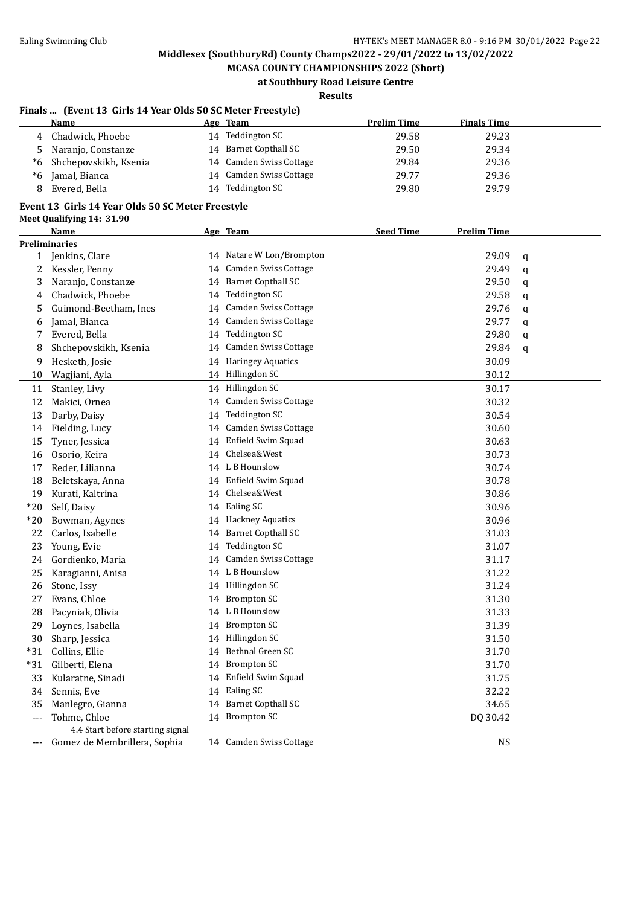**MCASA COUNTY CHAMPIONSHIPS 2022 (Short) at Southbury Road Leisure Centre**

**Results**

### **Finals ... (Event 13 Girls 14 Year Olds 50 SC Meter Freestyle)**

|       | Name                                              |    | Age Team                 | <b>Prelim Time</b> | <b>Finals Time</b> |   |
|-------|---------------------------------------------------|----|--------------------------|--------------------|--------------------|---|
| 4     | Chadwick, Phoebe                                  |    | 14 Teddington SC         | 29.58              | 29.23              |   |
| 5     | Naranjo, Constanze                                |    | 14 Barnet Copthall SC    | 29.50              | 29.34              |   |
| $^*6$ | Shchepovskikh, Ksenia                             |    | 14 Camden Swiss Cottage  | 29.84              | 29.36              |   |
| $^*6$ | Jamal, Bianca                                     |    | 14 Camden Swiss Cottage  | 29.77              | 29.36              |   |
| 8     | Evered, Bella                                     |    | 14 Teddington SC         | 29.80              | 29.79              |   |
|       | Event 13 Girls 14 Year Olds 50 SC Meter Freestyle |    |                          |                    |                    |   |
|       | Meet Qualifying 14: 31.90                         |    |                          |                    |                    |   |
|       | <b>Name</b>                                       |    | Age Team                 | <b>Seed Time</b>   | <b>Prelim Time</b> |   |
|       | <b>Preliminaries</b>                              |    |                          |                    |                    |   |
|       | 1 Jenkins, Clare                                  |    | 14 Natare W Lon/Brompton |                    | 29.09              | q |
| 2     | Kessler, Penny                                    |    | 14 Camden Swiss Cottage  |                    | 29.49              | q |
| 3     | Naranjo, Constanze                                |    | 14 Barnet Copthall SC    |                    | 29.50              | q |
| 4     | Chadwick, Phoebe                                  |    | 14 Teddington SC         |                    | 29.58              | q |
| 5     | Guimond-Beetham, Ines                             |    | 14 Camden Swiss Cottage  |                    | 29.76              | q |
| 6     | Jamal, Bianca                                     |    | 14 Camden Swiss Cottage  |                    | 29.77              | q |
| 7     | Evered, Bella                                     |    | 14 Teddington SC         |                    | 29.80              | q |
| 8     | Shchepovskikh, Ksenia                             |    | 14 Camden Swiss Cottage  |                    | 29.84              | a |
| 9     | Hesketh, Josie                                    |    | 14 Haringey Aquatics     |                    | 30.09              |   |
| 10    | Wagjiani, Ayla                                    |    | 14 Hillingdon SC         |                    | 30.12              |   |
| 11    | Stanley, Livy                                     |    | 14 Hillingdon SC         |                    | 30.17              |   |
| 12    | Makici, Ornea                                     |    | 14 Camden Swiss Cottage  |                    | 30.32              |   |
| 13    | Darby, Daisy                                      |    | 14 Teddington SC         |                    | 30.54              |   |
| 14    | Fielding, Lucy                                    |    | 14 Camden Swiss Cottage  |                    | 30.60              |   |
| 15    | Tyner, Jessica                                    |    | 14 Enfield Swim Squad    |                    | 30.63              |   |
| 16    | Osorio, Keira                                     | 14 | Chelsea&West             |                    | 30.73              |   |
| 17    | Reder, Lilianna                                   |    | 14 L B Hounslow          |                    | 30.74              |   |
| 18    | Beletskaya, Anna                                  |    | 14 Enfield Swim Squad    |                    | 30.78              |   |
| 19    | Kurati, Kaltrina                                  |    | 14 Chelsea&West          |                    | 30.86              |   |
| $*20$ | Self, Daisy                                       |    | 14 Ealing SC             |                    | 30.96              |   |
| $*20$ | Bowman, Agynes                                    |    | 14 Hackney Aquatics      |                    | 30.96              |   |
| 22    | Carlos, Isabelle                                  |    | 14 Barnet Copthall SC    |                    | 31.03              |   |
| 23    | Young, Evie                                       |    | 14 Teddington SC         |                    | 31.07              |   |
| 24    | Gordienko, Maria                                  |    | 14 Camden Swiss Cottage  |                    | 31.17              |   |
| 25    | Karagianni, Anisa                                 |    | 14 L B Hounslow          |                    | 31.22              |   |
| 26    | Stone, Issy                                       |    | 14 Hillingdon SC         |                    | 31.24              |   |
| 27    | Evans, Chloe                                      |    | 14 Brompton SC           |                    | 31.30              |   |
| 28    | Pacyniak, Olivia                                  |    | 14 L B Hounslow          |                    | 31.33              |   |
| 29    | Loynes, Isabella                                  |    | 14 Brompton SC           |                    | 31.39              |   |
| 30    | Sharp, Jessica                                    |    | 14 Hillingdon SC         |                    | 31.50              |   |
| $*31$ | Collins, Ellie                                    |    | 14 Bethnal Green SC      |                    | 31.70              |   |
| $*31$ | Gilberti, Elena                                   |    | 14 Brompton SC           |                    | 31.70              |   |
| 33    | Kularatne, Sinadi                                 |    | 14 Enfield Swim Squad    |                    | 31.75              |   |
| 34    | Sennis, Eve                                       |    | 14 Ealing SC             |                    | 32.22              |   |
| 35    | Manlegro, Gianna                                  |    | 14 Barnet Copthall SC    |                    | 34.65              |   |
| $---$ | Tohme, Chloe                                      |    | 14 Brompton SC           |                    | DQ 30.42           |   |
|       | 4.4 Start before starting signal                  |    |                          |                    |                    |   |
|       | --- Gomez de Membrillera, Sophia                  |    | 14 Camden Swiss Cottage  |                    | <b>NS</b>          |   |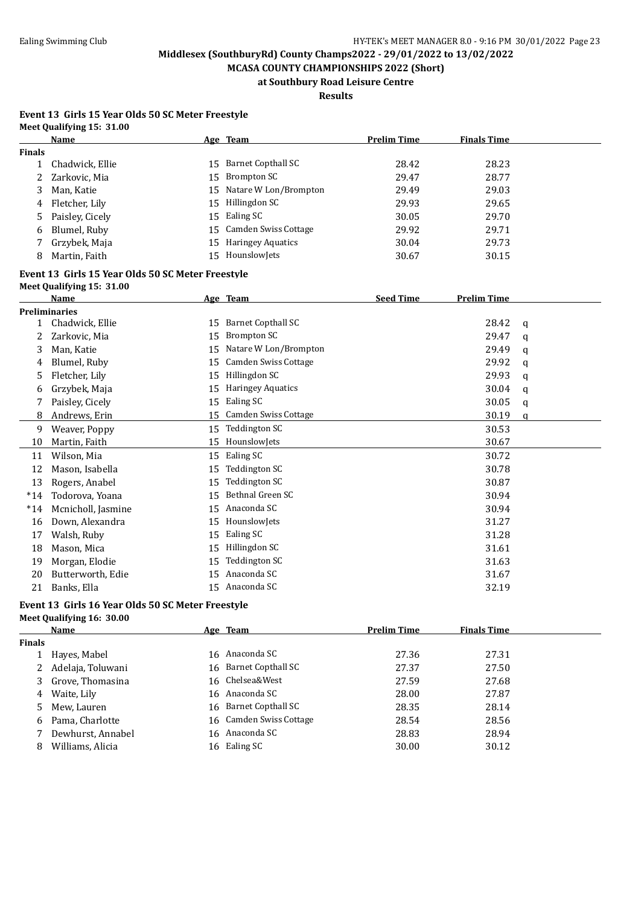**MCASA COUNTY CHAMPIONSHIPS 2022 (Short) at Southbury Road Leisure Centre**

**Results**

#### **Event 13 Girls 15 Year Olds 50 SC Meter Freestyle Meet Qualifying 15: 31.00**

|               | Name            |      | Age Team                 | <b>Prelim Time</b> | <b>Finals Time</b> |  |
|---------------|-----------------|------|--------------------------|--------------------|--------------------|--|
| <b>Finals</b> |                 |      |                          |                    |                    |  |
|               | Chadwick, Ellie | 15 - | Barnet Copthall SC       | 28.42              | 28.23              |  |
|               | 2 Zarkovic, Mia |      | 15 Brompton SC           | 29.47              | 28.77              |  |
| 3             | Man, Katie      |      | 15 Natare W Lon/Brompton | 29.49              | 29.03              |  |
| 4             | Fletcher, Lily  |      | 15 Hillingdon SC         | 29.93              | 29.65              |  |
| 5             | Paisley, Cicely |      | 15 Ealing SC             | 30.05              | 29.70              |  |
| 6             | Blumel, Ruby    |      | 15 Camden Swiss Cottage  | 29.92              | 29.71              |  |
|               | Grzybek, Maja   |      | 15 Haringey Aquatics     | 30.04              | 29.73              |  |
| 8             | Martin, Faith   |      | 15 Hounslowlets          | 30.67              | 30.15              |  |

#### **Event 13 Girls 15 Year Olds 50 SC Meter Freestyle Meet Qualifying 15: 31.00**

|       | $r$ correct $r$ and $r$ and $r$ and $r$ |    |                           |                  |                    |   |
|-------|-----------------------------------------|----|---------------------------|------------------|--------------------|---|
|       | Name                                    |    | Age Team                  | <b>Seed Time</b> | <b>Prelim Time</b> |   |
|       | <b>Preliminaries</b>                    |    |                           |                  |                    |   |
| 1     | Chadwick, Ellie                         | 15 | <b>Barnet Copthall SC</b> |                  | 28.42              | a |
| 2     | Zarkovic, Mia                           | 15 | Brompton SC               |                  | 29.47              | a |
| 3     | Man, Katie                              | 15 | Natare W Lon/Brompton     |                  | 29.49              | q |
| 4     | Blumel, Ruby                            | 15 | Camden Swiss Cottage      |                  | 29.92              | q |
| 5     | Fletcher, Lily                          | 15 | Hillingdon SC             |                  | 29.93              | a |
| 6     | Grzybek, Maja                           | 15 | <b>Haringey Aquatics</b>  |                  | 30.04              | q |
|       | Paisley, Cicely                         | 15 | Ealing SC                 |                  | 30.05              | q |
| 8     | Andrews, Erin                           | 15 | Camden Swiss Cottage      |                  | 30.19              | a |
| 9     | Weaver, Poppy                           | 15 | Teddington SC             |                  | 30.53              |   |
| 10    | Martin, Faith                           | 15 | HounslowJets              |                  | 30.67              |   |
| 11    | Wilson, Mia                             | 15 | Ealing SC                 |                  | 30.72              |   |
| 12    | Mason, Isabella                         | 15 | Teddington SC             |                  | 30.78              |   |
| 13    | Rogers, Anabel                          | 15 | Teddington SC             |                  | 30.87              |   |
| $*14$ | Todorova, Yoana                         | 15 | Bethnal Green SC          |                  | 30.94              |   |
| $*14$ | Mcnicholl, Jasmine                      | 15 | Anaconda SC               |                  | 30.94              |   |
| 16    | Down, Alexandra                         | 15 | HounslowJets              |                  | 31.27              |   |
| 17    | Walsh, Ruby                             | 15 | Ealing SC                 |                  | 31.28              |   |
| 18    | Mason, Mica                             | 15 | Hillingdon SC             |                  | 31.61              |   |
| 19    | Morgan, Elodie                          | 15 | Teddington SC             |                  | 31.63              |   |
| 20    | Butterworth, Edie                       | 15 | Anaconda SC               |                  | 31.67              |   |
| 21    | Banks, Ella                             | 15 | Anaconda SC               |                  | 32.19              |   |

# **Event 13 Girls 16 Year Olds 50 SC Meter Freestyle**

|  |  | Meet Qualifying 16: 30.00 |  |  |  |
|--|--|---------------------------|--|--|--|
|--|--|---------------------------|--|--|--|

|               | Name              | Age Team                | <b>Prelim Time</b> | <b>Finals Time</b> |  |
|---------------|-------------------|-------------------------|--------------------|--------------------|--|
| <b>Finals</b> |                   |                         |                    |                    |  |
|               | Hayes, Mabel      | 16 Anaconda SC          | 27.36              | 27.31              |  |
|               | Adelaja, Toluwani | 16 Barnet Copthall SC   | 27.37              | 27.50              |  |
| 3.            | Grove, Thomasina  | 16 Chelsea&West         | 27.59              | 27.68              |  |
| 4             | Waite, Lily       | 16 Anaconda SC          | 28.00              | 27.87              |  |
| 5.            | Mew, Lauren       | 16 Barnet Copthall SC   | 28.35              | 28.14              |  |
| 6             | Pama, Charlotte   | 16 Camden Swiss Cottage | 28.54              | 28.56              |  |
|               | Dewhurst, Annabel | 16 Anaconda SC          | 28.83              | 28.94              |  |
| 8             | Williams, Alicia  | 16 Ealing SC            | 30.00              | 30.12              |  |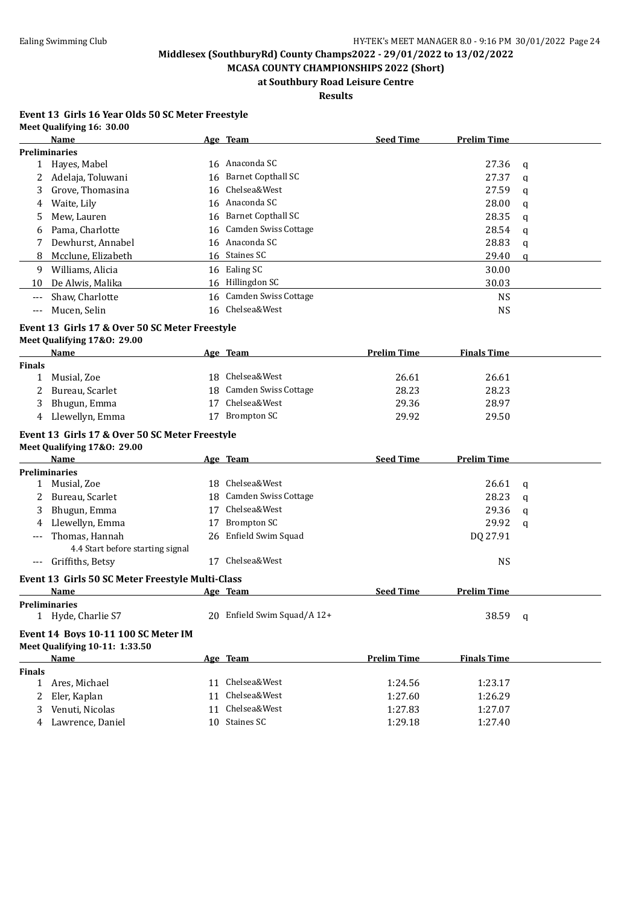**MCASA COUNTY CHAMPIONSHIPS 2022 (Short) at Southbury Road Leisure Centre**

**Results**

#### **Event 13 Girls 16 Year Olds 50 SC Meter Freestyle Meet Qualifying 16: 30.00**

|               | Name                                             |    | Age Team                    | <b>Seed Time</b>   | <b>Prelim Time</b> |              |
|---------------|--------------------------------------------------|----|-----------------------------|--------------------|--------------------|--------------|
|               | <b>Preliminaries</b>                             |    |                             |                    |                    |              |
| 1             | Hayes, Mabel                                     |    | 16 Anaconda SC              |                    | 27.36              | $\mathbf q$  |
| 2             | Adelaja, Toluwani                                |    | 16 Barnet Copthall SC       |                    | 27.37              | q            |
| 3             | Grove, Thomasina                                 | 16 | Chelsea&West                |                    | 27.59              | q            |
| 4             | Waite, Lily                                      |    | 16 Anaconda SC              |                    | 28.00              | q            |
| 5             | Mew, Lauren                                      | 16 | <b>Barnet Copthall SC</b>   |                    | 28.35              | q            |
| 6             | Pama, Charlotte                                  |    | 16 Camden Swiss Cottage     |                    | 28.54              | q            |
| 7             | Dewhurst, Annabel                                |    | 16 Anaconda SC              |                    | 28.83              | q            |
| 8             | Mcclune, Elizabeth                               |    | 16 Staines SC               |                    | 29.40              | q            |
| 9             | Williams, Alicia                                 |    | 16 Ealing SC                |                    | 30.00              |              |
| 10            | De Alwis, Malika                                 |    | 16 Hillingdon SC            |                    | 30.03              |              |
| $---$         | Shaw, Charlotte                                  |    | 16 Camden Swiss Cottage     |                    | <b>NS</b>          |              |
| $---$         | Mucen, Selin                                     |    | 16 Chelsea&West             |                    | <b>NS</b>          |              |
|               | Event 13 Girls 17 & Over 50 SC Meter Freestyle   |    |                             |                    |                    |              |
|               | Meet Qualifying 17&0: 29.00                      |    |                             |                    |                    |              |
|               | Name                                             |    | Age Team                    | <b>Prelim Time</b> | <b>Finals Time</b> |              |
| <b>Finals</b> |                                                  |    |                             |                    |                    |              |
| $\mathbf{1}$  | Musial, Zoe                                      | 18 | Chelsea&West                | 26.61              | 26.61              |              |
| 2             | Bureau, Scarlet                                  |    | 18 Camden Swiss Cottage     | 28.23              | 28.23              |              |
| 3             | Bhugun, Emma                                     | 17 | Chelsea&West                | 29.36              | 28.97              |              |
| 4             | Llewellyn, Emma                                  |    | 17 Brompton SC              | 29.92              | 29.50              |              |
|               | Event 13 Girls 17 & Over 50 SC Meter Freestyle   |    |                             |                    |                    |              |
|               | Meet Qualifying 17&0: 29.00                      |    |                             |                    |                    |              |
|               | Name                                             |    | Age Team                    | <b>Seed Time</b>   | <b>Prelim Time</b> |              |
|               | <b>Preliminaries</b>                             |    |                             |                    |                    |              |
|               | 1 Musial, Zoe                                    |    | 18 Chelsea&West             |                    | 26.61              | q            |
| 2             | Bureau, Scarlet                                  |    | 18 Camden Swiss Cottage     |                    | 28.23              | $\mathbf q$  |
| 3             | Bhugun, Emma                                     | 17 | Chelsea&West                |                    | 29.36              | q            |
| 4             | Llewellyn, Emma                                  | 17 | <b>Brompton SC</b>          |                    | 29.92              | a            |
| ---           | Thomas, Hannah                                   |    | 26 Enfield Swim Squad       |                    | DQ 27.91           |              |
|               | 4.4 Start before starting signal                 |    |                             |                    |                    |              |
| $---$         | Griffiths, Betsy                                 |    | 17 Chelsea&West             |                    | <b>NS</b>          |              |
|               | Event 13 Girls 50 SC Meter Freestyle Multi-Class |    |                             |                    |                    |              |
|               | Name                                             |    | Age Team                    | <b>Seed Time</b>   | Prelim Time        |              |
|               | <b>Preliminaries</b>                             |    |                             |                    |                    |              |
|               | Hyde, Charlie S7                                 |    | 20 Enfield Swim Squad/A 12+ |                    | 38.59              | $\mathbf{q}$ |
|               | Event 14 Boys 10-11 100 SC Meter IM              |    |                             |                    |                    |              |
|               | Meet Qualifying 10-11: 1:33.50                   |    |                             |                    |                    |              |
|               | Name                                             |    | Age Team                    | <b>Prelim Time</b> | <b>Finals Time</b> |              |
| <b>Finals</b> |                                                  |    |                             |                    |                    |              |
| $\mathbf{1}$  | Ares, Michael                                    |    | 11 Chelsea&West             | 1:24.56            | 1:23.17            |              |
| 2             | Eler, Kaplan                                     |    | 11 Chelsea&West             | 1:27.60            | 1:26.29            |              |
| 3             | Venuti, Nicolas                                  | 11 | Chelsea&West                | 1:27.83            | 1:27.07            |              |
| 4             | Lawrence, Daniel                                 |    | 10 Staines SC               | 1:29.18            | 1:27.40            |              |
|               |                                                  |    |                             |                    |                    |              |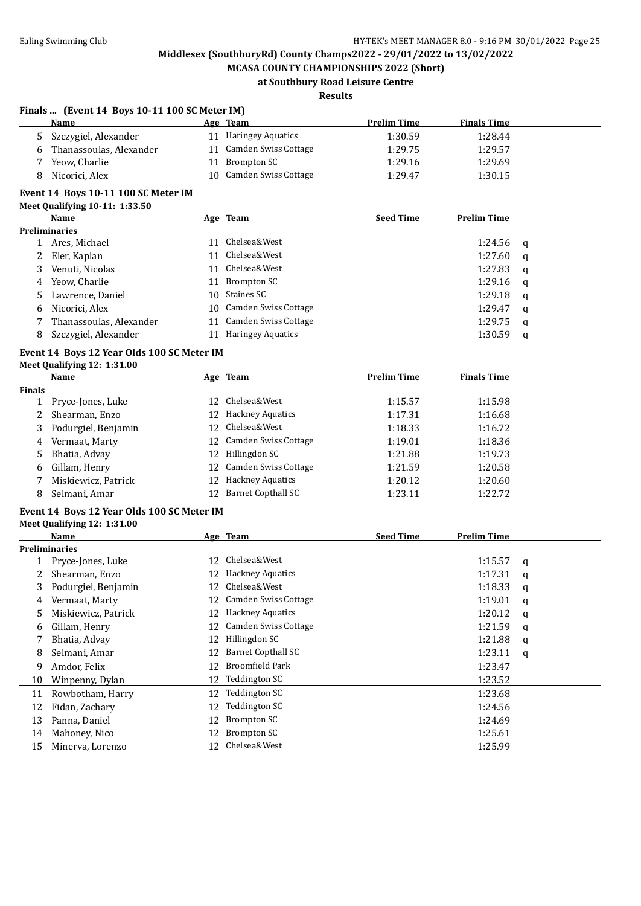**Finals ... (Event 14 Boys 10-11 100 SC Meter IM)**

# **Middlesex (SouthburyRd) County Champs2022 - 29/01/2022 to 13/02/2022**

**MCASA COUNTY CHAMPIONSHIPS 2022 (Short) at Southbury Road Leisure Centre**

### **Results**

|              | <b>Name</b>                                |    | Age Team                           | <b>Prelim Time</b> | <b>Finals Time</b> |             |
|--------------|--------------------------------------------|----|------------------------------------|--------------------|--------------------|-------------|
| 5.           | Szczygiel, Alexander                       |    | 11 Haringey Aquatics               | 1:30.59            | 1:28.44            |             |
| 6            | Thanassoulas, Alexander                    |    | 11 Camden Swiss Cottage            | 1:29.75            | 1:29.57            |             |
| 7            | Yeow, Charlie                              |    | 11 Brompton SC                     | 1:29.16            | 1:29.69            |             |
| 8            | Nicorici, Alex                             |    | 10 Camden Swiss Cottage            | 1:29.47            | 1:30.15            |             |
|              |                                            |    |                                    |                    |                    |             |
|              | Event 14 Boys 10-11 100 SC Meter IM        |    |                                    |                    |                    |             |
|              | Meet Qualifying 10-11: 1:33.50             |    |                                    |                    |                    |             |
|              | Name                                       |    | Age Team                           | <b>Seed Time</b>   | <b>Prelim Time</b> |             |
|              | <b>Preliminaries</b>                       |    |                                    |                    |                    |             |
|              | 1 Ares, Michael                            |    | 11 Chelsea&West<br>11 Chelsea&West |                    | 1:24.56            | q           |
| 2            | Eler, Kaplan                               |    |                                    |                    | 1:27.60            | q           |
| 3            | Venuti, Nicolas                            |    | 11 Chelsea&West                    |                    | 1:27.83            | q           |
| 4            | Yeow, Charlie                              |    | 11 Brompton SC                     |                    | 1:29.16            | q           |
| 5            | Lawrence, Daniel                           | 10 | <b>Staines SC</b>                  |                    | 1:29.18            | q           |
| 6            | Nicorici, Alex                             |    | 10 Camden Swiss Cottage            |                    | 1:29.47            | q           |
| 7            | Thanassoulas, Alexander                    |    | 11 Camden Swiss Cottage            |                    | 1:29.75            | q           |
| 8            | Szczygiel, Alexander                       |    | 11 Haringey Aquatics               |                    | 1:30.59            | q           |
|              | Event 14 Boys 12 Year Olds 100 SC Meter IM |    |                                    |                    |                    |             |
|              | Meet Qualifying 12: 1:31.00                |    |                                    |                    |                    |             |
|              | Name                                       |    | Age Team                           | <b>Prelim Time</b> | <b>Finals Time</b> |             |
| Finals       |                                            |    |                                    |                    |                    |             |
| 1            | Pryce-Jones, Luke                          |    | 12 Chelsea&West                    | 1:15.57            | 1:15.98            |             |
| 2            | Shearman, Enzo                             |    | 12 Hackney Aquatics                | 1:17.31            | 1:16.68            |             |
| 3            | Podurgiel, Benjamin                        | 12 | Chelsea&West                       | 1:18.33            | 1:16.72            |             |
| 4            | Vermaat, Marty                             | 12 | Camden Swiss Cottage               | 1:19.01            | 1:18.36            |             |
| 5            | Bhatia, Advay                              |    | 12 Hillingdon SC                   | 1:21.88            | 1:19.73            |             |
|              | Gillam, Henry                              | 12 | Camden Swiss Cottage               | 1:21.59            | 1:20.58            |             |
| 6            | Miskiewicz, Patrick                        |    | <b>Hackney Aquatics</b>            | 1:20.12            | 1:20.60            |             |
| 7            |                                            | 12 | <b>Barnet Copthall SC</b>          |                    |                    |             |
| 8            | Selmani, Amar                              | 12 |                                    | 1:23.11            | 1:22.72            |             |
|              | Event 14 Boys 12 Year Olds 100 SC Meter IM |    |                                    |                    |                    |             |
|              | Meet Qualifying 12: 1:31.00                |    |                                    |                    |                    |             |
|              | <b>Name</b>                                |    | Age Team                           | <b>Seed Time</b>   | <b>Prelim Time</b> |             |
|              | <b>Preliminaries</b>                       |    |                                    |                    |                    |             |
| $\mathbf{1}$ | Pryce-Jones, Luke                          |    | 12 Chelsea&West                    |                    | 1:15.57            | q           |
| 2            | Shearman, Enzo                             |    | 12 Hackney Aquatics                |                    | 1:17.31            | q           |
| 3            | Podurgiel, Benjamin                        |    | 12 Chelsea&West                    |                    | 1:18.33            | q           |
|              | 4 Vermaat, Marty                           |    | 12 Camden Swiss Cottage            |                    | 1:19.01            | $\mathsf q$ |
| 5            | Miskiewicz, Patrick                        |    | 12 Hackney Aquatics                |                    | 1:20.12            | q           |
| 6            | Gillam, Henry                              | 12 | Camden Swiss Cottage               |                    | 1:21.59            | q           |
| 7            | Bhatia, Advay                              | 12 | Hillingdon SC                      |                    | 1:21.88            | q           |
| 8            | Selmani, Amar                              | 12 | <b>Barnet Copthall SC</b>          |                    | 1:23.11            | a           |
| 9            | Amdor, Felix                               | 12 | <b>Broomfield Park</b>             |                    | 1:23.47            |             |
| 10           | Winpenny, Dylan                            | 12 | <b>Teddington SC</b>               |                    | 1:23.52            |             |
| 11           | Rowbotham, Harry                           | 12 | Teddington SC                      |                    | 1:23.68            |             |
|              | Fidan, Zachary                             | 12 | <b>Teddington SC</b>               |                    | 1:24.56            |             |
| 12           |                                            | 12 | <b>Brompton SC</b>                 |                    | 1:24.69            |             |
| 13           | Panna, Daniel                              |    | <b>Brompton SC</b>                 |                    |                    |             |
| 14           | Mahoney, Nico                              | 12 |                                    |                    | 1:25.61            |             |
| 15           | Minerva, Lorenzo                           |    | 12 Chelsea&West                    |                    | 1:25.99            |             |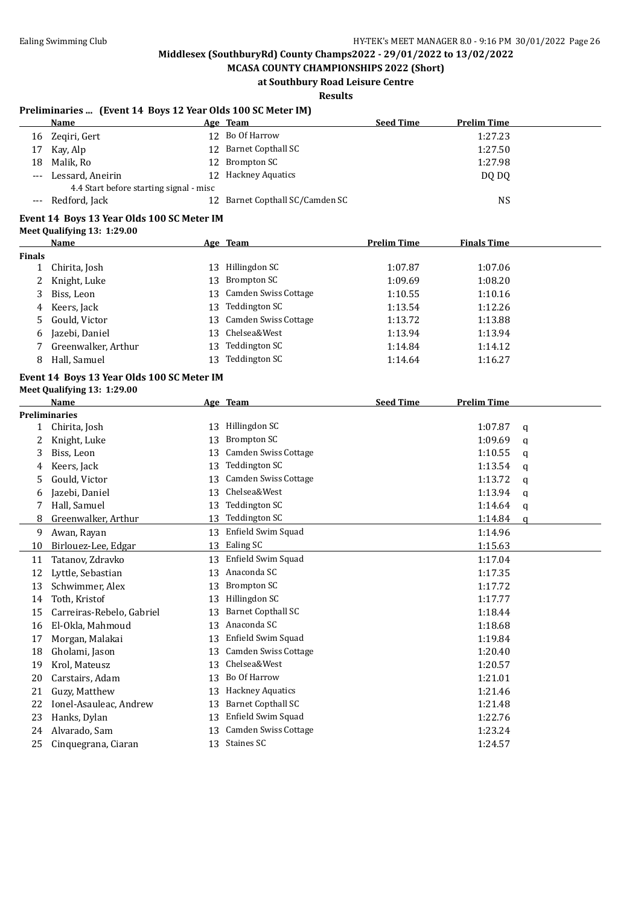**MCASA COUNTY CHAMPIONSHIPS 2022 (Short) at Southbury Road Leisure Centre**

### **Results**

### **Preliminaries ... (Event 14 Boys 12 Year Olds 100 SC Meter IM)**

|       | Name                                    | Age Team                        | <b>Seed Time</b> | <b>Prelim Time</b> |
|-------|-----------------------------------------|---------------------------------|------------------|--------------------|
| 16    | Zegiri, Gert                            | 12 Bo Of Harrow                 |                  | 1:27.23            |
| 17    | Kay, Alp                                | 12 Barnet Copthall SC           |                  | 1:27.50            |
| 18    | Malik, Ro                               | 12 Brompton SC                  |                  | 1:27.98            |
| $---$ | Lessard, Aneirin                        | 12 Hackney Aquatics             |                  | DO DO              |
|       | 4.4 Start before starting signal - misc |                                 |                  |                    |
|       | Redford, Jack                           | 12 Barnet Copthall SC/Camden SC |                  | NS                 |
|       |                                         |                                 |                  |                    |

## **Event 14 Boys 13 Year Olds 100 SC Meter IM**

### **Meet Qualifying 13: 1:29.00**

|               | Name                |     | Age Team                    | <b>Prelim Time</b> | <b>Finals Time</b> |  |
|---------------|---------------------|-----|-----------------------------|--------------------|--------------------|--|
| <b>Finals</b> |                     |     |                             |                    |                    |  |
|               | Chirita, Josh       | 13  | Hillingdon SC               | 1:07.87            | 1:07.06            |  |
|               | Knight, Luke        | 13  | Brompton SC                 | 1:09.69            | 1:08.20            |  |
| 3             | Biss, Leon          | 13. | <b>Camden Swiss Cottage</b> | 1:10.55            | 1:10.16            |  |
| 4             | Keers, Jack         | 13  | Teddington SC               | 1:13.54            | 1:12.26            |  |
| 5.            | Gould, Victor       | 13. | Camden Swiss Cottage        | 1:13.72            | 1:13.88            |  |
| 6             | Jazebi, Daniel      | 13  | Chelsea&West                | 1:13.94            | 1:13.94            |  |
|               | Greenwalker, Arthur | 13  | Teddington SC               | 1:14.84            | 1:14.12            |  |
| 8             | Hall, Samuel        | 13  | Teddington SC               | 1:14.64            | 1:16.27            |  |

#### **Event 14 Boys 13 Year Olds 100 SC Meter IM Meet Qualifying 13: 1:29.00**

| меет Qualifying 15: |  |  |
|---------------------|--|--|
|                     |  |  |

|              | <b>Name</b>               |    | Age Team                    | <b>Seed Time</b> | <b>Prelim Time</b> |   |
|--------------|---------------------------|----|-----------------------------|------------------|--------------------|---|
|              | <b>Preliminaries</b>      |    |                             |                  |                    |   |
| $\mathbf{1}$ | Chirita, Josh             | 13 | Hillingdon SC               |                  | 1:07.87            | a |
| 2            | Knight, Luke              | 13 | <b>Brompton SC</b>          |                  | 1:09.69            | a |
| 3            | Biss, Leon                | 13 | <b>Camden Swiss Cottage</b> |                  | 1:10.55            | a |
| 4            | Keers, Jack               | 13 | Teddington SC               |                  | 1:13.54            | a |
| 5            | Gould, Victor             | 13 | Camden Swiss Cottage        |                  | 1:13.72            | a |
| 6            | Jazebi, Daniel            | 13 | Chelsea&West                |                  | 1:13.94            | a |
| 7            | Hall, Samuel              | 13 | Teddington SC               |                  | 1:14.64            | q |
| 8            | Greenwalker, Arthur       | 13 | Teddington SC               |                  | 1:14.84            | a |
| 9            | Awan, Rayan               | 13 | Enfield Swim Squad          |                  | 1:14.96            |   |
| 10           | Birlouez-Lee, Edgar       | 13 | Ealing SC                   |                  | 1:15.63            |   |
| 11           | Tatanov, Zdravko          | 13 | Enfield Swim Squad          |                  | 1:17.04            |   |
| 12           | Lyttle, Sebastian         | 13 | Anaconda SC                 |                  | 1:17.35            |   |
| 13           | Schwimmer, Alex           | 13 | Brompton SC                 |                  | 1:17.72            |   |
| 14           | Toth, Kristof             | 13 | Hillingdon SC               |                  | 1:17.77            |   |
| 15           | Carreiras-Rebelo, Gabriel | 13 | <b>Barnet Copthall SC</b>   |                  | 1:18.44            |   |
| 16           | El-Okla, Mahmoud          | 13 | Anaconda SC                 |                  | 1:18.68            |   |
| 17           | Morgan, Malakai           | 13 | Enfield Swim Squad          |                  | 1:19.84            |   |
| 18           | Gholami, Jason            | 13 | <b>Camden Swiss Cottage</b> |                  | 1:20.40            |   |
| 19           | Krol, Mateusz             | 13 | Chelsea&West                |                  | 1:20.57            |   |
| 20           | Carstairs, Adam           | 13 | Bo Of Harrow                |                  | 1:21.01            |   |
| 21           | Guzy, Matthew             | 13 | <b>Hackney Aquatics</b>     |                  | 1:21.46            |   |
| 22           | Ionel-Asauleac, Andrew    | 13 | <b>Barnet Copthall SC</b>   |                  | 1:21.48            |   |
| 23           | Hanks, Dylan              | 13 | Enfield Swim Squad          |                  | 1:22.76            |   |
| 24           | Alvarado, Sam             | 13 | Camden Swiss Cottage        |                  | 1:23.24            |   |
| 25           | Cinquegrana, Ciaran       | 13 | Staines SC                  |                  | 1:24.57            |   |
|              |                           |    |                             |                  |                    |   |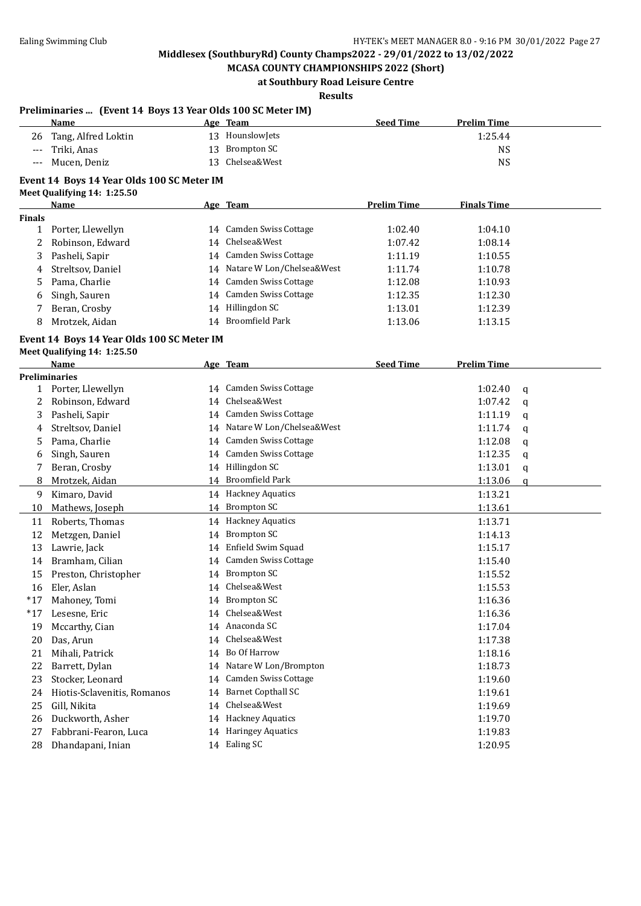**MCASA COUNTY CHAMPIONSHIPS 2022 (Short) at Southbury Road Leisure Centre**

### **Results**

|               | Preliminaries  (Event 14 Boys 13 Year Olds 100 SC Meter IM) |    |                              |                    |                    |   |
|---------------|-------------------------------------------------------------|----|------------------------------|--------------------|--------------------|---|
|               | Name                                                        |    | Age Team                     | <b>Seed Time</b>   | <b>Prelim Time</b> |   |
| 26            | Tang, Alfred Loktin                                         |    | 13 HounslowJets              |                    | 1:25.44            |   |
| $---$         | Triki, Anas                                                 |    | 13 Brompton SC               |                    | <b>NS</b>          |   |
|               | Mucen, Deniz                                                | 13 | Chelsea&West                 |                    | <b>NS</b>          |   |
|               | Event 14 Boys 14 Year Olds 100 SC Meter IM                  |    |                              |                    |                    |   |
|               | Meet Qualifying 14: 1:25.50                                 |    |                              |                    |                    |   |
|               | <u>Name</u>                                                 |    | Age Team                     | <b>Prelim Time</b> | <b>Finals Time</b> |   |
| <b>Finals</b> |                                                             |    |                              |                    |                    |   |
| $\mathbf{1}$  | Porter, Llewellyn                                           |    | 14 Camden Swiss Cottage      | 1:02.40            | 1:04.10            |   |
| 2             | Robinson, Edward                                            |    | 14 Chelsea&West              | 1:07.42            | 1:08.14            |   |
| 3             | Pasheli, Sapir                                              |    | 14 Camden Swiss Cottage      | 1:11.19            | 1:10.55            |   |
| 4             | Streltsov, Daniel                                           |    | 14 Natare W Lon/Chelsea&West | 1:11.74            | 1:10.78            |   |
| 5             | Pama, Charlie                                               |    | 14 Camden Swiss Cottage      | 1:12.08            | 1:10.93            |   |
| 6             | Singh, Sauren                                               |    | 14 Camden Swiss Cottage      | 1:12.35            | 1:12.30            |   |
| 7             | Beran, Crosby                                               |    | 14 Hillingdon SC             | 1:13.01            | 1:12.39            |   |
| 8             | Mrotzek, Aidan                                              |    | 14 Broomfield Park           | 1:13.06            | 1:13.15            |   |
|               | Event 14 Boys 14 Year Olds 100 SC Meter IM                  |    |                              |                    |                    |   |
|               | Meet Qualifying 14: 1:25.50                                 |    |                              |                    |                    |   |
|               | Name                                                        |    | Age Team                     | <b>Seed Time</b>   | <b>Prelim Time</b> |   |
|               | <b>Preliminaries</b>                                        |    |                              |                    |                    |   |
|               | 1 Porter, Llewellyn                                         |    | 14 Camden Swiss Cottage      |                    | 1:02.40            | q |
| 2             | Robinson, Edward                                            |    | 14 Chelsea&West              |                    | 1:07.42            | q |
| 3             | Pasheli, Sapir                                              |    | 14 Camden Swiss Cottage      |                    | 1:11.19            | q |
| 4             | Streltsov, Daniel                                           |    | 14 Natare W Lon/Chelsea&West |                    | 1:11.74            | q |
| 5             | Pama, Charlie                                               |    | 14 Camden Swiss Cottage      |                    | 1:12.08            | q |
| 6             | Singh, Sauren                                               |    | 14 Camden Swiss Cottage      |                    | 1:12.35            | q |
| 7             | Beran, Crosby                                               |    | 14 Hillingdon SC             |                    | 1:13.01            | q |
| 8             | Mrotzek, Aidan                                              |    | 14 Broomfield Park           |                    | 1:13.06            | q |
| 9             | Kimaro, David                                               |    | 14 Hackney Aquatics          |                    | 1:13.21            |   |
| 10            | Mathews, Joseph                                             |    | 14 Brompton SC               |                    | 1:13.61            |   |
| 11            | Roberts, Thomas                                             |    | 14 Hackney Aquatics          |                    | 1:13.71            |   |
| 12            | Metzgen, Daniel                                             |    | 14 Brompton SC               |                    | 1:14.13            |   |
| 13            | Lawrie, Jack                                                |    | 14 Enfield Swim Squad        |                    | 1:15.17            |   |
| 14            | Bramham, Cilian                                             |    | 14 Camden Swiss Cottage      |                    | 1:15.40            |   |
| 15            | Preston, Christopher                                        |    | 14 Brompton SC               |                    | 1:15.52            |   |
|               | 16 Eler, Aslan                                              |    | 14 Chelsea&West              |                    | 1:15.53            |   |
| $*17$         | Mahoney, Tomi                                               |    | 14 Brompton SC               |                    | 1:16.36            |   |
| $*17$         | Lesesne, Eric                                               | 14 | Chelsea&West                 |                    | 1:16.36            |   |
| 19            | Mccarthy, Cian                                              | 14 | Anaconda SC                  |                    | 1:17.04            |   |
| 20            | Das, Arun                                                   | 14 | Chelsea&West                 |                    | 1:17.38            |   |
| 21            | Mihali, Patrick                                             |    | 14 Bo Of Harrow              |                    | 1:18.16            |   |
| 22            | Barrett, Dylan                                              | 14 | Natare W Lon/Brompton        |                    | 1:18.73            |   |
| 23            | Stocker, Leonard                                            | 14 | Camden Swiss Cottage         |                    | 1:19.60            |   |
| 24            | Hiotis-Sclavenitis, Romanos                                 | 14 | <b>Barnet Copthall SC</b>    |                    | 1:19.61            |   |
| 25            | Gill, Nikita                                                | 14 | Chelsea&West                 |                    | 1:19.69            |   |
| 26            | Duckworth, Asher                                            |    | 14 Hackney Aquatics          |                    | 1:19.70            |   |
| 27            | Fabbrani-Fearon, Luca                                       |    | 14 Haringey Aquatics         |                    | 1:19.83            |   |
| 28            | Dhandapani, Inian                                           |    | 14 Ealing SC                 |                    | 1:20.95            |   |
|               |                                                             |    |                              |                    |                    |   |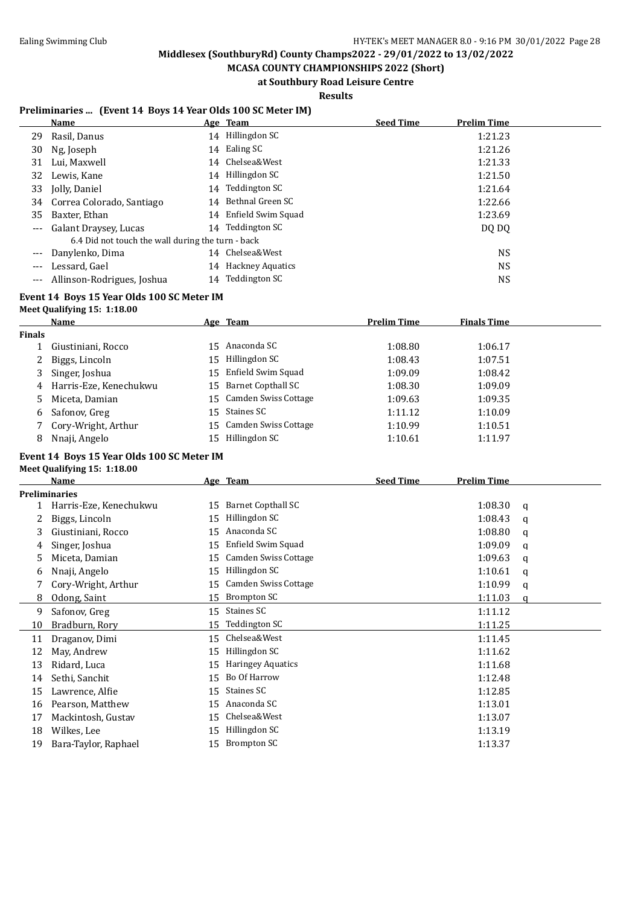**MCASA COUNTY CHAMPIONSHIPS 2022 (Short) at Southbury Road Leisure Centre**

**Results**

### **Preliminaries ... (Event 14 Boys 14 Year Olds 100 SC Meter IM)**

|                     | Name                                              |    | Age Team              | <b>Seed Time</b> | <b>Prelim Time</b> |
|---------------------|---------------------------------------------------|----|-----------------------|------------------|--------------------|
| 29                  | Rasil, Danus                                      | 14 | Hillingdon SC         |                  | 1:21.23            |
| 30                  | Ng, Joseph                                        |    | 14 Ealing SC          |                  | 1:21.26            |
| 31                  | Lui, Maxwell                                      |    | 14 Chelsea&West       |                  | 1:21.33            |
|                     | 32 Lewis, Kane                                    |    | 14 Hillingdon SC      |                  | 1:21.50            |
| 33                  | Jolly, Daniel                                     | 14 | Teddington SC         |                  | 1:21.64            |
|                     | 34 Correa Colorado, Santiago                      | 14 | Bethnal Green SC      |                  | 1:22.66            |
| 35                  | Baxter, Ethan                                     |    | 14 Enfield Swim Squad |                  | 1:23.69            |
| $\qquad \qquad - -$ | Galant Draysey, Lucas                             |    | 14 Teddington SC      |                  | DQ DQ              |
|                     | 6.4 Did not touch the wall during the turn - back |    |                       |                  |                    |
| $---$               | Danylenko, Dima                                   |    | 14 Chelsea&West       |                  | <b>NS</b>          |
|                     | Lessard, Gael                                     |    | 14 Hackney Aquatics   |                  | <b>NS</b>          |
|                     | Allinson-Rodrigues, Joshua                        |    | 14 Teddington SC      |                  | NS                 |

### **Event 14 Boys 15 Year Olds 100 SC Meter IM**

### **Meet Qualifying 15: 1:18.00**

|        | Name                   |     | Age Team                | <b>Prelim Time</b> | <b>Finals Time</b> |  |
|--------|------------------------|-----|-------------------------|--------------------|--------------------|--|
| Finals |                        |     |                         |                    |                    |  |
|        | Giustiniani, Rocco     | 15. | Anaconda SC             | 1:08.80            | 1:06.17            |  |
| 2      | Biggs, Lincoln         | 15  | Hillingdon SC           | 1:08.43            | 1:07.51            |  |
| 3      | Singer, Joshua         |     | 15 Enfield Swim Squad   | 1:09.09            | 1:08.42            |  |
| 4      | Harris-Eze, Kenechukwu |     | 15 Barnet Copthall SC   | 1:08.30            | 1:09.09            |  |
| 5.     | Miceta, Damian         |     | 15 Camden Swiss Cottage | 1:09.63            | 1:09.35            |  |
| 6      | Safonov, Greg          |     | 15 Staines SC           | 1:11.12            | 1:10.09            |  |
|        | Cory-Wright, Arthur    |     | 15 Camden Swiss Cottage | 1:10.99            | 1:10.51            |  |
| 8      | Nnaji, Angelo          | 15. | Hillingdon SC           | 1:10.61            | 1:11.97            |  |
|        |                        |     |                         |                    |                    |  |

#### **Event 14 Boys 15 Year Olds 100 SC Meter IM**

| Meet Qualifying 15: 1:18.00 |  |
|-----------------------------|--|
| $\mathbf{M}$                |  |

|    | Name                   |    | Age Team                  | <b>Seed Time</b> | <b>Prelim Time</b> |   |
|----|------------------------|----|---------------------------|------------------|--------------------|---|
|    | <b>Preliminaries</b>   |    |                           |                  |                    |   |
|    | Harris-Eze, Kenechukwu | 15 | <b>Barnet Copthall SC</b> |                  | 1:08.30            | q |
| 2  | Biggs, Lincoln         | 15 | Hillingdon SC             |                  | 1:08.43            | a |
| 3  | Giustiniani, Rocco     | 15 | Anaconda SC               |                  | 1:08.80            | q |
| 4  | Singer, Joshua         | 15 | Enfield Swim Squad        |                  | 1:09.09            | a |
| 5  | Miceta, Damian         | 15 | Camden Swiss Cottage      |                  | 1:09.63            | q |
| 6  | Nnaji, Angelo          | 15 | Hillingdon SC             |                  | 1:10.61            | q |
|    | Cory-Wright, Arthur    | 15 | Camden Swiss Cottage      |                  | 1:10.99            | a |
| 8  | Odong, Saint           | 15 | Brompton SC               |                  | 1:11.03            | q |
| 9  | Safonov, Greg          | 15 | Staines SC                |                  | 1:11.12            |   |
| 10 | Bradburn, Rory         | 15 | Teddington SC             |                  | 1:11.25            |   |
| 11 | Draganov, Dimi         | 15 | Chelsea&West              |                  | 1:11.45            |   |
| 12 | May, Andrew            | 15 | Hillingdon SC             |                  | 1:11.62            |   |
| 13 | Ridard, Luca           | 15 | <b>Haringey Aquatics</b>  |                  | 1:11.68            |   |
| 14 | Sethi, Sanchit         | 15 | Bo Of Harrow              |                  | 1:12.48            |   |
| 15 | Lawrence, Alfie        | 15 | Staines SC                |                  | 1:12.85            |   |
| 16 | Pearson, Matthew       | 15 | Anaconda SC               |                  | 1:13.01            |   |
| 17 | Mackintosh, Gustav     | 15 | Chelsea&West              |                  | 1:13.07            |   |
| 18 | Wilkes, Lee            | 15 | Hillingdon SC             |                  | 1:13.19            |   |
| 19 | Bara-Taylor, Raphael   | 15 | <b>Brompton SC</b>        |                  | 1:13.37            |   |
|    |                        |    |                           |                  |                    |   |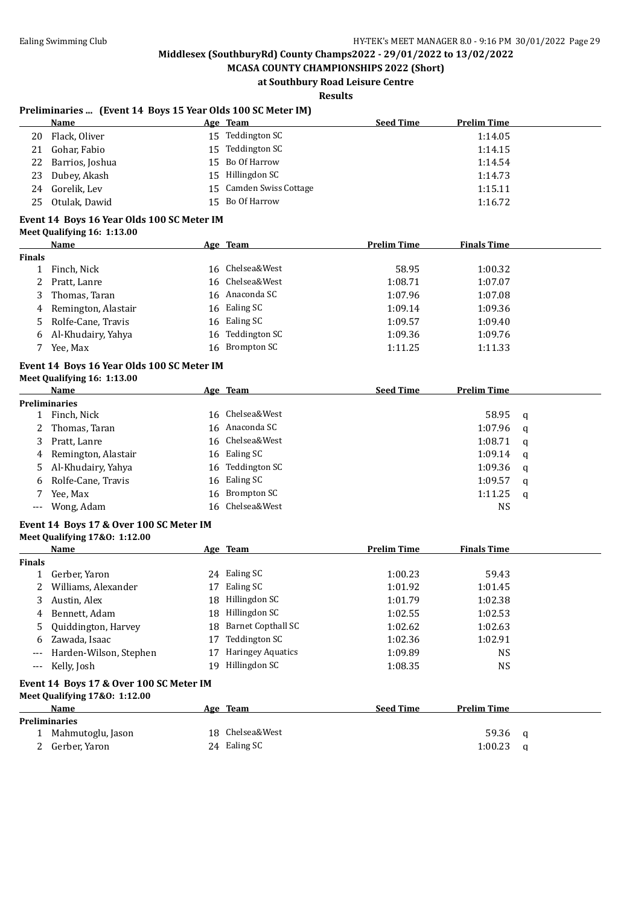**MCASA COUNTY CHAMPIONSHIPS 2022 (Short) at Southbury Road Leisure Centre**

# **Results**

### **Preliminaries ... (Event 14 Boys 15 Year Olds 100 SC Meter IM)**

|    | Name               |    | Age Team                | <b>Seed Time</b> | <b>Prelim Time</b> |
|----|--------------------|----|-------------------------|------------------|--------------------|
| 20 | Flack, Oliver      | 15 | Teddington SC           |                  | 1:14.05            |
| 21 | Gohar, Fabio       | 15 | Teddington SC           |                  | 1:14.15            |
|    | 22 Barrios, Joshua |    | 15 Bo Of Harrow         |                  | 1:14.54            |
|    | 23 Dubey, Akash    |    | 15 Hillingdon SC        |                  | 1:14.73            |
| 24 | Gorelik, Lev       |    | 15 Camden Swiss Cottage |                  | 1:15.11            |
| 25 | Otulak, Dawid      |    | 15 Bo Of Harrow         |                  | 1:16.72            |
|    |                    |    |                         |                  |                    |

#### **Event 14 Boys 16 Year Olds 100 SC Meter IM Meet Qualifying 16: 1:13.00**

|        | Name                | Age Team         | <b>Prelim Time</b> | <b>Finals Time</b> |
|--------|---------------------|------------------|--------------------|--------------------|
| Finals |                     |                  |                    |                    |
|        | Finch, Nick         | 16 Chelsea&West  | 58.95              | 1:00.32            |
| 2      | Pratt, Lanre        | 16 Chelsea&West  | 1:08.71            | 1:07.07            |
| 3      | Thomas, Taran       | 16 Anaconda SC   | 1:07.96            | 1:07.08            |
| 4      | Remington, Alastair | 16 Ealing SC     | 1:09.14            | 1:09.36            |
| 5.     | Rolfe-Cane, Travis  | 16 Ealing SC     | 1:09.57            | 1:09.40            |
| 6      | Al-Khudairy, Yahya  | 16 Teddington SC | 1:09.36            | 1:09.76            |
|        | Yee, Max            | 16 Brompton SC   | 1:11.25            | 1:11.33            |

#### **Event 14 Boys 16 Year Olds 100 SC Meter IM Meet Qualifying 16: 1:13.00**

|   | Name                  |  | Age Team         | <b>Seed Time</b> | <b>Prelim Time</b> |          |  |
|---|-----------------------|--|------------------|------------------|--------------------|----------|--|
|   | Preliminaries         |  |                  |                  |                    |          |  |
|   | Finch, Nick           |  | 16 Chelsea&West  |                  | 58.95              | - a      |  |
| 2 | Thomas, Taran         |  | 16 Anaconda SC   |                  | 1:07.96            | - a      |  |
| 3 | Pratt, Lanre          |  | 16 Chelsea&West  |                  | 1:08.71            | <b>a</b> |  |
|   | 4 Remington, Alastair |  | 16 Ealing SC     |                  | 1:09.14            | - q      |  |
|   | 5 Al-Khudairy, Yahya  |  | 16 Teddington SC |                  | $1:09.36$ q        |          |  |
|   | 6 Rolfe-Cane, Travis  |  | 16 Ealing SC     |                  | 1:09.57            | q        |  |
|   | Yee, Max              |  | 16 Brompton SC   |                  | 1:11.25            | - a      |  |
|   | --- Wong, Adam        |  | 16 Chelsea&West  |                  | NS                 |          |  |

# **Event 14 Boys 17 & Over 100 SC Meter IM**

| Meet Qualifying 17&0: 1:12.00 |  |
|-------------------------------|--|
|-------------------------------|--|

|               | Name                   |     | Age Team                 | <b>Prelim Time</b> | <b>Finals Time</b> |  |
|---------------|------------------------|-----|--------------------------|--------------------|--------------------|--|
| <b>Finals</b> |                        |     |                          |                    |                    |  |
|               | Gerber, Yaron          | 24  | Ealing SC                | 1:00.23            | 59.43              |  |
| 2             | Williams, Alexander    | 17  | Ealing SC                | 1:01.92            | 1:01.45            |  |
| 3             | Austin, Alex           |     | 18 Hillingdon SC         | 1:01.79            | 1:02.38            |  |
|               | 4 Bennett, Adam        |     | 18 Hillingdon SC         | 1:02.55            | 1:02.53            |  |
|               | 5 Quiddington, Harvey  |     | 18 Barnet Copthall SC    | 1:02.62            | 1:02.63            |  |
| 6             | Zawada, Isaac          | 17  | Teddington SC            | 1:02.36            | 1:02.91            |  |
| ---           | Harden-Wilson, Stephen |     | <b>Haringey Aquatics</b> | 1:09.89            | <b>NS</b>          |  |
| $---$         | Kelly, Josh            | 19. | Hillingdon SC            | 1:08.35            | <b>NS</b>          |  |
|               |                        |     |                          |                    |                    |  |

#### **Event 14 Boys 17 & Over 100 SC Meter IM Meet Qualifying 17&O: 1:12.00**

| <b>Name</b>          | Age Team        | <b>Seed Time</b> | <b>Prelim Time</b> |  |
|----------------------|-----------------|------------------|--------------------|--|
| <b>Preliminaries</b> |                 |                  |                    |  |
| Mahmutoglu, Jason    | 18 Chelsea&West |                  | 59.36              |  |
| 2 Gerber, Yaron      | 24 Ealing SC    |                  | 1:00.23            |  |